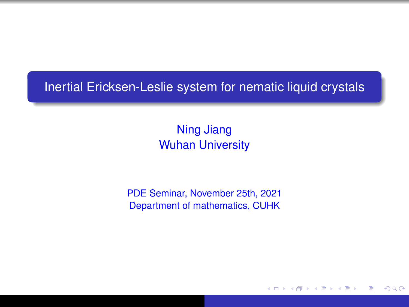#### <span id="page-0-1"></span>Inertial Ericksen-Leslie system for nematic liquid crystals

Ning Jiang Wuhan University

PDE Seminar, November 25th, 2021 Department of mathematics, CUHK

イロメス 伊 メスミメス ミ

<span id="page-0-0"></span>∍  $QQQ$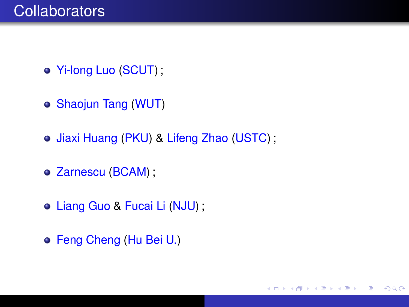- Yi-long Luo (SCUT) ;
- Shaojun Tang (WUT)
- o Jiaxi Huang (PKU) & Lifeng Zhao (USTC);

イロト イ母 トイラ トイラト

 $2Q$ 

- Zarnescu (BCAM) ;
- Liang Guo & Fucai Li (NJU) ;
- Feng Cheng (Hu Bei U.)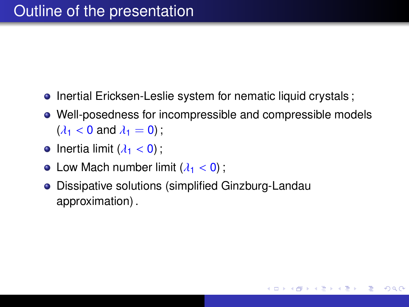- Inertial Ericksen-Leslie system for nematic liquid crystals ;
- Well-posedness for incompressible and compressible models  $(\lambda_1 < 0$  and  $\lambda_1 = 0$ );

イロト イ母 トイラ トイラト

つのへ

- Inertia limit  $(\lambda_1 < 0)$ :
- Low Mach number limit  $(\lambda_1 < 0)$ :
- Dissipative solutions (simplified Ginzburg-Landau approximation) .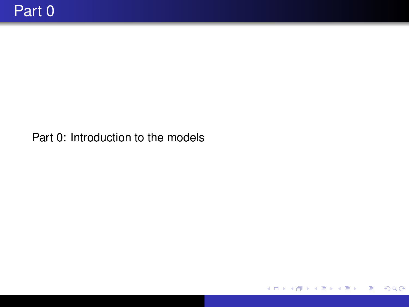Part 0: Introduction to the models

<span id="page-3-0"></span>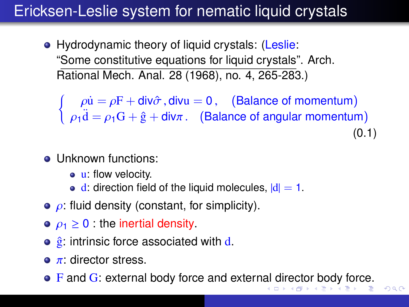## Ericksen-Leslie system for nematic liquid crystals

• Hydrodynamic theory of liquid crystals: (Leslie: "Some constitutive equations for liquid crystals". Arch. Rational Mech. Anal. 28 (1968), no. 4, 265-283.)

 $\int \rho \dot{u} = \rho F + \text{div}\hat{\sigma}$ , divu = 0, (Balance of momentum)  $\rho_1 \ddot{\textbf{d}} = \rho_1 \textbf{G} + \hat{\textbf{g}} + \textbf{div}\pi$ . (Balance of angular momentum) (0.1)

- Unknown functions:
	- **u**: flow velocity.
	- $\bullet$  d: direction field of the liquid molecules,  $|d| = 1$ .
- $\bullet$   $\rho$ : fluid density (constant, for simplicity).
- $\rho_1 \geq 0$  : the inertial density.
- $\hat{g}$ : intrinsic force associated with d.
- $\bullet$   $\pi$ : director stress.
- F and G: extern[al](#page-3-0) body force and external [dir](#page-5-0)[e](#page-3-0)[ct](#page-4-0)[o](#page-5-0)[r b](#page-0-0)[od](#page-65-0)[y](#page-0-0) [for](#page-65-0)[ce](#page-0-0)[.](#page-65-0)

<span id="page-4-0"></span> $QQ$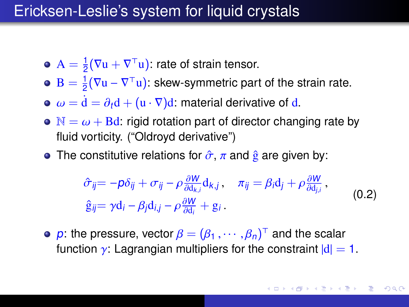#### Ericksen-Leslie's system for liquid crystals

- $A=\frac{1}{2}$  $\frac{1}{2}(\nabla u + \nabla^{\top} u)$ : rate of strain tensor.
- $B = \frac{1}{2}$  $\frac{1}{2}(\nabla \mathbf{u} - \nabla^{\top} \mathbf{u})$ : skew-symmetric part of the strain rate.
- $\omega = d = \partial_t d + (u \cdot \nabla) d$ : material derivative of d.
- $\bullet \mathbb{N} = \omega + \text{Bd}$ : rigid rotation part of director changing rate by fluid vorticity. ("Oldroyd derivative")
- The constitutive relations for  $\hat{\sigma}$ ,  $\pi$  and  $\hat{g}$  are given by:

<span id="page-5-0"></span>
$$
\hat{\sigma}_{ij} = -p\delta_{ij} + \sigma_{ij} - \rho \frac{\partial W}{\partial d_{k,i}} d_{k,j}, \quad \pi_{ij} = \beta_i d_j + \rho \frac{\partial W}{\partial d_{j,i}},
$$
  
\n
$$
\hat{g}_{ij} = \gamma d_i - \beta_j d_{i,j} - \rho \frac{\partial W}{\partial d_i} + g_i.
$$
\n(0.2)

p: the pressure, vector  $\beta = (\beta_1, \dots, \beta_n)^T$  and the scalar function  $\alpha$ : Lagrangian multipliers for the constraint  $|d|$ function  $\gamma$ : Lagrangian multipliers for the constraint  $|d| = 1$ .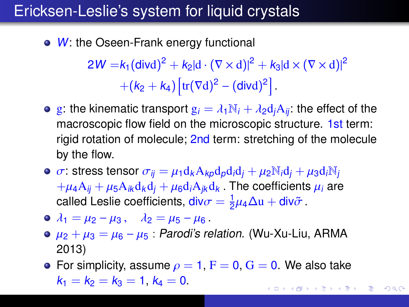### Ericksen-Leslie's system for liquid crystals

• W: the Oseen-Frank energy functional

 $2W = k_1(\text{divd})^2 + k_2|\text{d} \cdot (\nabla \times \text{d})|^2 + k_3|\text{d} \times (\nabla \times \text{d})|^2$  $+(k_2 + k_4) \left[ \text{tr}(\nabla d)^2 - (\text{div} d)^2 \right]$ 

- **e** g: the kinematic transport  $g_i = \lambda_1 N_i + \lambda_2 d_i A_{ii}$ : the effect of the macroscopic flow field on the microscopic structure. 1st term: rigid rotation of molecule; 2nd term: stretching of the molecule by the flow.
- $\bullet \ \sigma$ : stress tensor  $\sigma_{ii} = \mu_1 d_k A_{k0} d_p d_i d_i + \mu_2 N_i d_i + \mu_3 d_i N_i$  $+\mu_4A_{ii} + \mu_5A_{ik}d_kd_i + \mu_6d_iA_{ik}d_k$ . The coefficients  $\mu_i$  are called Leslie coefficients,  $div \sigma = \frac{1}{2}$  $\frac{1}{2}\mu_4\Delta u + \text{div}\tilde{\sigma}$ .
- $\bullet$   $\lambda_1 = \mu_2 \mu_3$ ,  $\lambda_2 = \mu_5 \mu_6$ .
- $\bullet$   $\mu_2 + \mu_3 = \mu_6 \mu_5$ : Parodi's relation. (Wu-Xu-Liu, ARMA 2013)
- **•** For simplicity, assume  $\rho = 1$ ,  $F = 0$ ,  $G = 0$ . We also take  $k_1 = k_2 = k_3 = 1, k_4 = 0.$ イロト イ母 トイヨ トイヨ トー

 $QQ$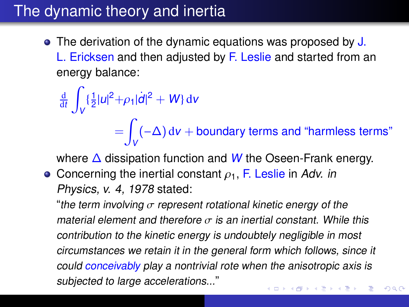## The dynamic theory and inertia

• The derivation of the dynamic equations was proposed by J. L. Ericksen and then adjusted by F. Leslie and started from an energy balance:

$$
\frac{d}{dt} \int_{V} \left\{ \frac{1}{2} |u|^2 + \rho_1 |d|^2 + W \right\} dv
$$
\n
$$
= \int_{V} (-\Delta) dv + \text{boundary terms and "harmless terms"}
$$

where  $\Delta$  dissipation function and W the Oseen-Frank energy.

• Concerning the inertial constant  $\rho_1$ , F. Leslie in Adv. in Physics, v. 4, 1978 stated:

"the term involving  $\sigma$  represent rotational kinetic energy of the material element and therefore  $\sigma$  is an inertial constant. While this contribution to the kinetic energy is undoubtely negligible in most circumstances we retain it in the general form which follows, since it could conceivably play a nontrivial rote when the anisotropic axis is subjected to large accelerations..."イロト イ押 トイヨ トイヨト

 $QQ$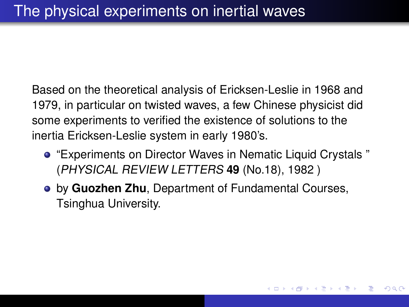Based on the theoretical analysis of Ericksen-Leslie in 1968 and 1979, in particular on twisted waves, a few Chinese physicist did some experiments to verified the existence of solutions to the inertia Ericksen-Leslie system in early 1980's.

"Experiments on Director Waves in Nematic Liquid Crystals " (PHYSICAL REVIEW LETTERS **49** (No.18), 1982 )

イロト イ母 トイラ トイラト

<span id="page-8-0"></span>つのへ

by **Guozhen Zhu**, Department of Fundamental Courses, Tsinghua University.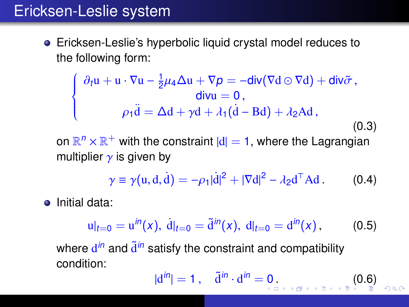### Ericksen-Leslie system

Ericksen-Leslie's hyperbolic liquid crystal model reduces to the following form:

<span id="page-9-0"></span>
$$
\begin{cases}\n\partial_t \mathbf{u} + \mathbf{u} \cdot \nabla \mathbf{u} - \frac{1}{2} \mu_4 \Delta \mathbf{u} + \nabla p = -\text{div}(\nabla \mathbf{d} \odot \nabla \mathbf{d}) + \text{div} \tilde{\sigma}, \\
\text{div} \mathbf{u} = 0, \\
\rho_1 \ddot{\mathbf{d}} = \Delta \mathbf{d} + \gamma \mathbf{d} + \lambda_1 (\dot{\mathbf{d}} - \mathbf{B} \mathbf{d}) + \lambda_2 \mathbf{A} \mathbf{d},\n\end{cases}
$$
\n(0.3)

on  $\mathbb{R}^n \times \mathbb{R}^+$  with the constraint  $|d| = 1$ , where the Lagrangian multiplier  $\gamma$  is given by

$$
\gamma \equiv \gamma(u, d, d) = -\rho_1 |\dot{d}|^2 + |\nabla d|^2 - \lambda_2 d^\top A d. \tag{0.4}
$$

• Initial data:

<span id="page-9-1"></span>
$$
u|_{t=0} = u^{in}(x), \ d|_{t=0} = \tilde{d}^{in}(x), \ d|_{t=0} = d^{in}(x), \qquad (0.5)
$$

where  $\mathbf{d}^{in}$  and  $\widetilde{\mathbf{d}}^{in}$  satisfy the constraint and compatibility condition:

$$
|d^{in}|=1\,,\quad \tilde{d}^{in}\cdot d^{in}=0\,.\tag{0.6}\,
$$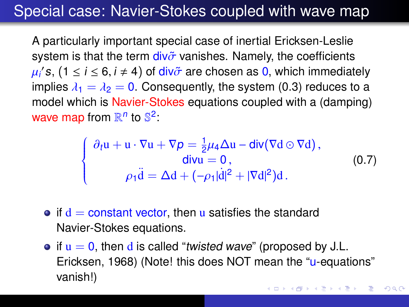### Special case: Navier-Stokes coupled with wave map

A particularly important special case of inertial Ericksen-Leslie system is that the term  $div\tilde{\sigma}$  vanishes. Namely, the coefficients µi<br>in  $\mathcal{S}(s, (1 \leq i \leq 6, i \neq 4))$  of div $\tilde{\sigma}$  are chosen as 0, which immediately indices  $\lambda_s - \lambda_s - 0$ . Consequently, the system (0.3) reduces to a implies  $\lambda_1 = \lambda_2 = 0$ . Consequently, the system [\(0.3\)](#page-9-0) reduces to a<br>model which is Navier-Stokes equations coupled with a (damping) model which is Navier-Stokes equations coupled with a (damping) wave map from  $\mathbb{R}^n$  to  $\mathbb{S}^2$ :

$$
\begin{cases}\n\partial_t \mathbf{u} + \mathbf{u} \cdot \nabla \mathbf{u} + \nabla p = \frac{1}{2} \mu_4 \Delta \mathbf{u} - \text{div}(\nabla \mathbf{d} \odot \nabla \mathbf{d}), \\
\text{div}\mathbf{u} = 0, \\
\rho_1 \ddot{\mathbf{d}} = \Delta \mathbf{d} + (-\rho_1 |\dot{\mathbf{d}}|^2 + |\nabla \mathbf{d}|^2) \mathbf{d}.\n\end{cases}
$$
\n(0.7)

- $\bullet$  if  $d =$  constant vector, then u satisfies the standard Navier-Stokes equations.
- $\bullet$  if  $u = 0$ , then d is called "twisted wave" (proposed by J.L. Ericksen, 1968) (Note! this does NOT mean the "u-equations" vanish!)**≮ロト ⊀何ト ⊀ ヨト ⊀ ヨト**

 $2Q$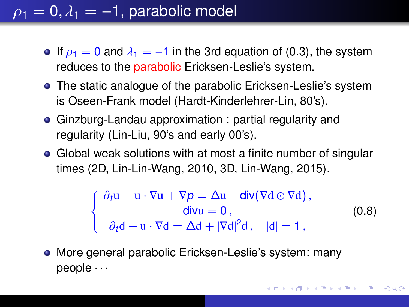## $\rho_1 = 0, \lambda_1 = -1$ , parabolic model

- If  $\rho_1 = 0$  and  $\lambda_1 = -1$  in the 3rd equation of [\(0.3\)](#page-9-0), the system reduces to the parabolic Ericksen-Leslie's system.
- **•** The static analogue of the parabolic Ericksen-Leslie's system is Oseen-Frank model (Hardt-Kinderlehrer-Lin, 80's).
- Ginzburg-Landau approximation : partial regularity and regularity (Lin-Liu, 90's and early 00's).
- Global weak solutions with at most a finite number of singular times (2D, Lin-Lin-Wang, 2010, 3D, Lin-Wang, 2015).

<span id="page-11-0"></span>
$$
\begin{cases}\n\partial_t \mathbf{u} + \mathbf{u} \cdot \nabla \mathbf{u} + \nabla p = \Delta \mathbf{u} - \text{div}(\nabla \mathbf{d} \odot \nabla \mathbf{d}), \\
\text{div}\mathbf{u} = 0, \\
\partial_t \mathbf{d} + \mathbf{u} \cdot \nabla \mathbf{d} = \Delta \mathbf{d} + |\nabla \mathbf{d}|^2 \mathbf{d}, \quad |\mathbf{d}| = 1,\n\end{cases}
$$
\n(0.8)

More general parabolic Ericksen-Leslie's system: many people · · ·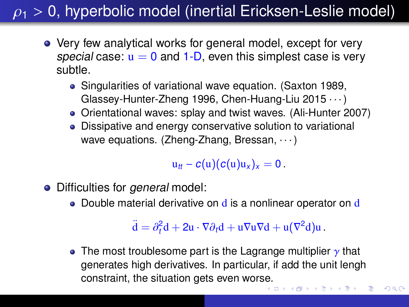## $\rho_1$  > 0, hyperbolic model (inertial Ericksen-Leslie model)

- Very few analytical works for general model, except for very special case:  $u = 0$  and 1-D, even this simplest case is very subtle.
	- Singularities of variational wave equation. (Saxton 1989, Glassey-Hunter-Zheng 1996, Chen-Huang-Liu 2015 · · · )
	- Orientational waves: splay and twist waves. (Ali-Hunter 2007)
	- Dissipative and energy conservative solution to variational wave equations. (Zheng-Zhang, Bressan,  $\cdots$ )

 $u_{tt} - c(u)(c(u)u_x)_x = 0$ .

- Difficulties for *general* model:
	- Double material derivative on  $\mathbf d$  is a nonlinear operator on  $\mathbf d$

 $\ddot{\mathbf{d}} = \partial_t^2 \mathbf{d} + 2 \mathbf{u} \cdot \nabla \partial_t \mathbf{d} + \mathbf{u} \nabla \mathbf{u} \nabla \mathbf{d} + \mathbf{u} (\nabla^2 \mathbf{d}) \mathbf{u}.$ 

 $2Q$ 

• The most troublesome part is the Lagrange multiplier  $\gamma$  that generates high derivatives. In particular, if add the unit lengh constraint, the situation gets even wor[se.](#page-11-0)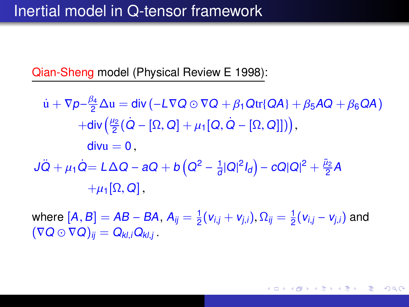Qian-Sheng model (Physical Review E 1998):

 $\dot{u} + \nabla p - \frac{\beta_4}{2} \Delta u = \text{div} \left( -L \nabla Q \odot \nabla Q + \beta_1 \text{Qtr} \{\text{QA}\} + \beta_5 \text{AQ} + \beta_6 \text{QA} \right)$  $+\text{\rm div}\Big(\frac{\mu_2}{2}\big(\dot Q-[\Omega,Q]+\mu_1\big[Q,\dot Q-[\Omega,Q]\big]\big)\Big),$  $divu = 0$ .  $J\ddot{Q} + \mu_1 \dot{Q} = L\Delta Q - aQ + b\left(Q^2 - \frac{1}{d}\right)$  $\frac{1}{d}|Q|^2I_d$ ) –  $cQ|Q|^2 + \frac{\tilde{\mu}_2}{2}A$  $+\mu_1[\Omega, Q]$ ,

where  $[A, B] = AB - BA$ ,  $A_{ij} = \frac{1}{2}$  $\frac{1}{2} (v_{i,j} + v_{j,i}), \Omega_{ij} = \frac{1}{2}$  $\frac{1}{2}(v_{i,j}-v_{j,i})$  and  $(\nabla Q \odot \nabla Q)_{ii} = Q_{kl}iQ_{kl}i$ .

イロト イ母 トイヨ トイヨ トー

 $\Omega$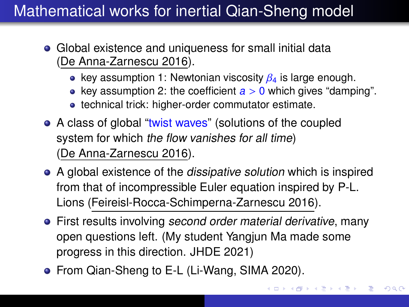## Mathematical works for inertial Qian-Sheng model

- Global existence and uniqueness for small initial data (De Anna-Zarnescu 2016).
	- key assumption 1: Newtonian viscosity  $\beta_4$  is large enough.
	- key assumption 2: the coefficient  $a > 0$  which gives "damping".
	- technical trick: higher-order commutator estimate.
- A class of global "twist waves" (solutions of the coupled system for which the flow vanishes for all time) (De Anna-Zarnescu 2016).
- A global existence of the *dissipative solution* which is inspired from that of incompressible Euler equation inspired by P-L. Lions (Feireisl-Rocca-Schimperna-Zarnescu 2016).
- **•** First results involving second order material derivative, many open questions left. (My student Yangjun Ma made some progress in this direction. JHDE 2021)
- <span id="page-14-0"></span>**•** From Qian-Sheng to E-L (Li-Wang, SIMA 2020).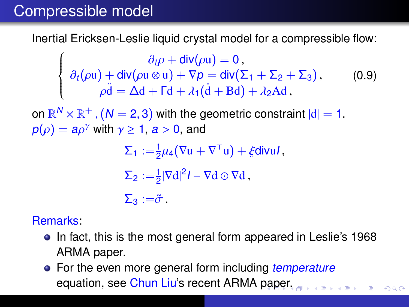### Compressible model

Inertial Ericksen-Leslie liquid crystal model for a compressible flow:

 $\left\{\right.$  $\overline{\mathcal{L}}$  $\partial_t \rho + \text{div}(\rho \mathbf{u}) = 0$ ,<br>  $(\otimes \mathbf{u}) + \nabla \rho - \text{div}(\nabla \rho)$  $\partial_t(\rho u) + \text{div}(\rho u \otimes u) + \nabla p = \text{div}(\Sigma_1 + \Sigma_2 + \Sigma_3),$ <br>  $\partial \dot{d} = \Delta d + \text{Ed} + \lambda (\dot{d} + \text{B}d) + \lambda \Delta d$  $\rho \ddot{\mathbf{d}} = \Delta \mathbf{d} + \mathbf{\Gamma} \mathbf{d} + \lambda_1 (\dot{\mathbf{d}} + \mathbf{B} \mathbf{d}) + \lambda_2 \mathbf{A} \mathbf{d}$ , (0.9)

on  $\mathbb{R}^N \times \mathbb{R}^+$ ,  $(N = 2, 3)$  with the geometric constraint  $|d| = 1$ .<br> $p(a) = a_0$ <sup>y</sup> with  $y > 1$ ,  $a > 0$ , and  $p(\rho) = a\rho^{\gamma}$  with  $\gamma \ge 1$ ,  $a > 0$ , and

 $\Sigma_1 := \frac{1}{2}\mu_4(\nabla u + \nabla^{\top} u) + \xi \text{div} u I,$  $\Sigma_2 := \frac{1}{2} |\nabla d|^2 I - \nabla d \odot \nabla d$ ,  $\sum_{\mathbf{2}}$  := $\tilde{\sigma}$  .

Remarks:

- In fact, this is the most general form appeared in Leslie's 1968 ARMA paper.
- For the even more general form including temperature equation, see Chun Liu's recent ARMA [pa](#page-14-0)[pe](#page-16-0)[r.](#page-14-0)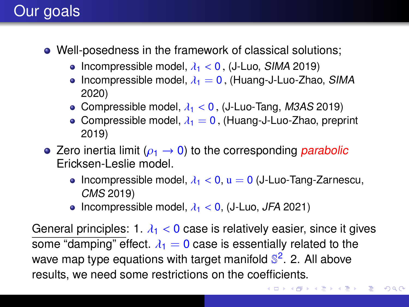## Our goals

- Well-posedness in the framework of classical solutions;
	- Incompressible model,  $\lambda_1$  < 0, (J-Luo, SIMA 2019)
	- Incompressible model,  $\lambda_1 = 0$ , (Huang-J-Luo-Zhao, SIMA 2020)
	- Compressible model,  $\lambda_1$  < 0, (J-Luo-Tang, M3AS 2019)
	- Compressible model,  $\lambda_1 = 0$ , (Huang-J-Luo-Zhao, preprint 2019)
- Zero inertia limit ( $\rho_1 \rightarrow 0$ ) to the corresponding parabolic Ericksen-Leslie model.
	- Incompressible model,  $\lambda_1 < 0$ ,  $u = 0$  (J-Luo-Tang-Zarnescu, CMS 2019)
	- Incompressible model,  $\lambda_1$  < 0, (J-Luo, JFA 2021)

General principles: 1.  $\lambda_1$  < 0 case is relatively easier, since it gives some "damping" effect.  $\lambda_1 = 0$  case is essentially related to the wave map type equations with target manifold S<sup>2</sup>. 2. All above results, we need some restrictions on the coefficients.

イロト イ母 トイヨ トイヨ トー

重

<span id="page-16-0"></span> $QQ$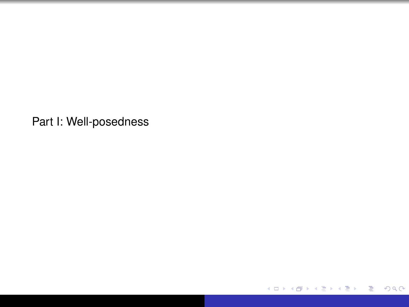Part I: Well-posedness

メロトメ 御 トメ 君 トメ 君 トッ

重  $200$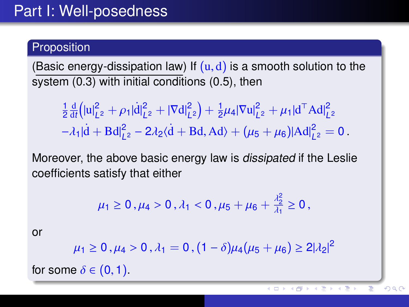#### Proposition

(Basic energy-dissipation law) If  $(u, d)$  is a smooth solution to the system [\(0.3\)](#page-9-0) with initial conditions [\(0.5\)](#page-9-1), then

1  $rac{1}{2}$  $rac{d}{di}$  $\frac{\mathrm{d}}{\mathrm{d}t}$ (|u| $_L^2$  $L_2^2 + \rho_1 |\dot{d}|_L^2$ |  $L_2^2 + |\nabla d|^2_L$  $\binom{2}{L^2} + \frac{1}{2}$  $\frac{1}{2}\mu_4 |\nabla u|_L^2$  $L_2^2 + \mu_1 |d^T \text{Ad}|^2_L$  $L<sup>2</sup>$  $-\lambda_1|\dot{d} + Bd|_L^2$  $L_2^2 - 2\lambda_2\langle \dot{d} + Bd, Ad \rangle + (\mu_5 + \mu_6)|Ad|^2_L$  $L^2 = 0.$ 

Moreover, the above basic energy law is dissipated if the Leslie coefficients satisfy that either

$$
\mu_1 \ge 0
$$
,  $\mu_4 > 0$ ,  $\lambda_1 < 0$ ,  $\mu_5 + \mu_6 + \frac{\lambda_2^2}{\lambda_1} \ge 0$ ,

or

$$
\mu_1 \geq 0
$$
,  $\mu_4 > 0$ ,  $\lambda_1 = 0$ ,  $(1 - \delta)\mu_4(\mu_5 + \mu_6) \geq 2|\lambda_2|^2$ 

for some  $\delta \in (0,1)$ .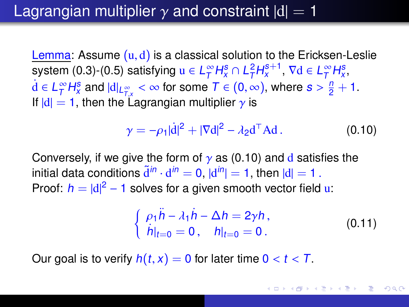### Lagrangian multiplier  $\gamma$  and constraint  $|d|=1$

Lemma: Assume  $(u, d)$  is a classical solution to the Ericksen-Leslie system [\(0.3\)](#page-9-0)-[\(0.5\)](#page-9-1) satisfying  $u \in L^{\infty}_{\mathcal{T}}$  $\int_{T}^{\infty} H_{x}^{s} \cap L_{T}^{2} H_{x}^{s+1}, \nabla d \in L_{T}^{\infty}$  $T^{\infty}H_{x}^{s}$  $\dot{d} \in L^{\infty}_{\mathcal{T}}$  $T \cap H_S^{\infty}$  and  $|d|_{L^{\infty}_{TX}} < \infty$  for some  $T \in (0, \infty)$ , where  $s > \frac{n}{2} + 1$ .<br>  $-1$ , then the Lagrangian multiplier  $\alpha$  is If  $|d| = 1$ , then the Lagrangian multiplier  $\gamma$  is

<span id="page-19-0"></span>
$$
\gamma = -\rho_1 |\dot{\mathbf{d}}|^2 + |\nabla \mathbf{d}|^2 - \lambda_2 \mathbf{d}^\top \mathbf{A} \mathbf{d} \,. \tag{0.10}
$$

Conversely, if we give the form of  $\gamma$  as [\(0.10\)](#page-19-0) and d satisfies the initial data conditions  $\tilde{d}^{in} \cdot d^{in} = 0$ ,  $|d^{in}| = 1$ , then  $|d| = 1$ .<br>Proof:  $h = |d|^2 - 1$  solves for a given smooth vector field Proof:  $h = |d|^2 - 1$  solves for a given smooth vector field u:

$$
\begin{cases} \rho_1 \ddot{h} - \lambda_1 \dot{h} - \Delta h = 2\gamma h, \\ \dot{h}|_{t=0} = 0, \quad h|_{t=0} = 0. \end{cases}
$$
 (0.11)

Our goal is to verify  $h(t, x) = 0$  for later time  $0 < t < T$ .

イロト イ母 トイヨ トイヨ トー  $QQQ$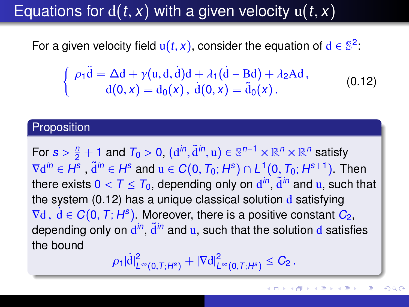## Equations for  $d(t, x)$  with a given velocity  $u(t, x)$

For a given velocity field  $u(t, x)$ , consider the equation of  $d \in \mathbb{S}^2$ :

<span id="page-20-0"></span>
$$
\begin{cases}\n\rho_1 \ddot{\mathbf{d}} = \Delta \mathbf{d} + \gamma (\mathbf{u}, \mathbf{d}, \dot{\mathbf{d}}) \mathbf{d} + \lambda_1 (\dot{\mathbf{d}} - \mathbf{B} \mathbf{d}) + \lambda_2 \mathbf{A} \mathbf{d}, \\
\mathbf{d}(0, x) = \mathbf{d}_0(x), \ \dot{\mathbf{d}}(0, x) = \tilde{\mathbf{d}}_0(x).\n\end{cases}
$$
\n(0.12)

#### Proposition

For  $s > \frac{n}{2} + 1$  and  $T_0 > 0$ ,  $(d^{in}, \tilde{d}^{in}, u) \in \mathbb{S}^{n-1} \times \mathbb{R}^n \times \mathbb{R}^n$  satisfy<br>  $\overline{S}^{ain} \subseteq H^s$ ,  $\overline{A}^{in} \subseteq H^s$  and  $u \in C(0, T_1, H^s) \cap L^1(0, T_1, H^{s+1})$ ,  $T_1$  $\nabla d^{in} \in H^s$ ,  $\tilde{d}^{in} \in H^s$  and  $u \in C(0, T_0; H^s) \cap L^1(0, T_0; H^{s+1})$ . Then<br>there exists  $0 < T < T_0$ , depending only on  $d^{in}$ ,  $\tilde{d}^{in}$  and  $u$ , such then there exists  $0 < T \leq T_0$ , depending only on  $d^{in}$ ,  $\tilde{d}^{in}$  and u, such that the system (0.12) has a unique classical solution d satisfying the system  $(0.12)$  has a unique classical solution  $d$  satisfying  $\nabla d$ ,  $\dot{d} \in C(0, T; H^s)$ . Moreover, there is a positive constant  $C_2$ ,<br>depending only on  $d^{in}$  and u, such that the solution d satisfi depending only on  $\mathbf{d}^{in}$ ,  $\widetilde{\mathbf{d}}^{in}$  and u, such that the solution  $\mathbf{d}$  satisfies the bound

<span id="page-20-1"></span>
$$
\rho_1 |\dot{d}|^2_{L^{\infty}(0,T;H^s)} + |\nabla d|^2_{L^{\infty}(0,T;H^s)} \leq C_2.
$$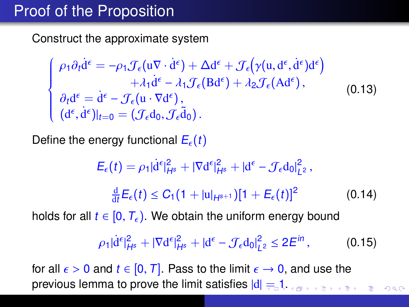### Proof of the Proposition

Construct the approximate system

$$
\begin{cases}\n\rho_1 \partial_t \dot{d}^{\epsilon} = -\rho_1 \mathcal{J}_{\epsilon} (u \nabla \cdot \dot{d}^{\epsilon}) + \Delta d^{\epsilon} + \mathcal{J}_{\epsilon} (\gamma (u, d^{\epsilon}, \dot{d}^{\epsilon}) d^{\epsilon}) \\
+ \lambda_1 \dot{d}^{\epsilon} - \lambda_1 \mathcal{J}_{\epsilon} (B d^{\epsilon}) + \lambda_2 \mathcal{J}_{\epsilon} (A d^{\epsilon}), \\
\partial_t d^{\epsilon} = \dot{d}^{\epsilon} - \mathcal{J}_{\epsilon} (u \cdot \nabla d^{\epsilon}), \\
(d^{\epsilon}, \dot{d}^{\epsilon})|_{t=0} = (\mathcal{J}_{\epsilon} d_0, \mathcal{J}_{\epsilon} \dot{d}_0).\n\end{cases}
$$
\n(0.13)

Define the energy functional  $E_{\epsilon}(t)$ 

$$
E_{\epsilon}(t) = \rho_1 |\dot{d}^{\epsilon}|^2_{H^s} + |\nabla d^{\epsilon}|^2_{H^s} + |d^{\epsilon} - \mathcal{J}_{\epsilon} d_0|^2_{L^2},
$$
  

$$
\frac{d}{dt} E_{\epsilon}(t) \le C_1 (1 + |u|_{H^{s+1}}) [1 + E_{\epsilon}(t)]^2
$$
(0.14)

holds for all  $t \in [0, T_{\epsilon})$ . We obtain the uniform energy bound

<span id="page-21-0"></span>
$$
\rho_1 |\dot{d}^{\epsilon}|^2_{H^s} + |\nabla d^{\epsilon}|^2_{H^s} + |d^{\epsilon} - \mathcal{J}_{\epsilon} d_0|^2_{L^2} \leq 2E^{in}, \qquad (0.15)
$$

for all  $\epsilon > 0$  and  $t \in [0, T]$ . Pass to the limit  $\epsilon \to 0$ , and use the previous lemma to prove the limit satisfies  $|d| = 1$  $|d| = 1$  $|d| = 1$ .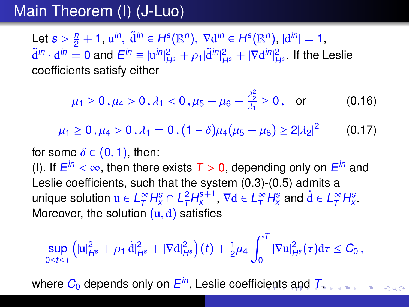## Main Theorem (I) (J-Luo)

Let  $s > \frac{n}{2} + 1$ ,  $u^{in}$ ,  $\tilde{d}^{in} \in H^s(\mathbb{R}^n)$ ,  $\nabla d^{in} \in H^s(\mathbb{R}^n)$ ,  $|d^{in}| = 1$ ,<br> $\tilde{d}^{in}$ ,  $d^{in} = 0$  and  $E^{in} = |u^{in}|^2$ ,  $|u^{1/2}|^{2} = |U^{1/2}d^{in}|^2$ , if the l  $\tilde{\rm d}^{in}\cdot{\rm d}^{in}=0$  and  $E^{in}\equiv |{\rm u}^{in}|^2_{H^{\rm s}}+\rho_1|\tilde{\rm d}^{in}|^2_{H^{\rm s}}+|\nabla{\rm d}^{in}|^2_{H^{\rm s}}$  . If the Leslie<br>coefficients satisfy either coefficients satisfy either

$$
\mu_1 \ge 0
$$
,  $\mu_4 > 0$ ,  $\lambda_1 < 0$ ,  $\mu_5 + \mu_6 + \frac{\lambda_2^2}{\lambda_1} \ge 0$ , or (0.16)

$$
\mu_1 \geq 0, \mu_4 > 0, \lambda_1 = 0, (1 - \delta)\mu_4(\mu_5 + \mu_6) \geq 2|\lambda_2|^2 \qquad (0.17)
$$

for some  $\delta \in (0,1)$ , then: (I). If  $E^{in} < \infty$ , then there exists  $T > 0$ , depending only on  $E^{in}$  and<br>Leslie coefficients, such that the system (0.3)-(0.5) admits a Leslie coefficients, such that the system [\(0.3\)](#page-9-0)-[\(0.5\)](#page-9-1) admits a unique solution  $u \in L^{\infty}_T$  $\int_{T}^{\infty} H_{x}^{s} \cap L_{T}^{2} H_{x}^{s+1}, \nabla d \in L_{T}^{\infty}$  $T^{\infty}_T H^s_x$  and  $\dot{d} \in L^{\infty}_T$  $T^{\infty}H_x^s$ Moreover, the solution  $(u, d)$  satisfies

<span id="page-22-0"></span>
$$
\sup_{0\leq t\leq T}\left(|u|_{H^s}^2+\rho_1|\dot{d}|_{H^s}^2+|\nabla d|_{H^s}^2\right)(t)+\tfrac{1}{2}\mu_4\int_0^T|\nabla u|_{H^s}^2(\tau)d\tau\leq C_0,
$$

where  $C_0$  depe[n](#page-22-0)[d](#page-23-0)s only on  $E^{\mathsf{in}}$ , Leslie coeffic[ien](#page-21-0)[ts](#page-23-0) [a](#page-21-0)nd  $T_z$  $T_z$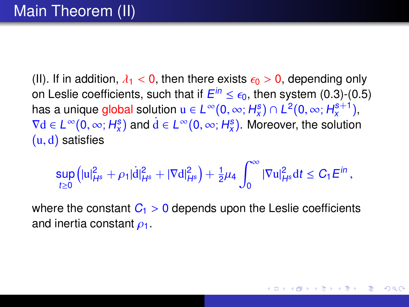(II). If in addition,  $\lambda_1 < 0$ , then there exists  $\epsilon_0 > 0$ , depending only on Leslie coefficients, such that if  $E^{in} \le \epsilon_0$ , then system [\(0.3\)](#page-9-0)-[\(0.5\)](#page-9-1)<br>has a unique global solution  $\mu \in L^{\infty}(\Omega, \infty; H^s) \cap L^2(\Omega, \infty; H^{s+1})$ has a unique global solution  $u \in L^{\infty}(0, \infty; H_x^s) \cap L^2(0, \infty; H_x^{s+1}),$ <br> $\nabla d \in L^{\infty}(0, \infty; H_s^s)$  and  $d \in L^{\infty}(0, \infty; H_s^s)$ . Moreover, the solution  $\nabla d \in L^{\infty}(0, \infty; H_x^s)$  and  $\dot{d} \in L^{\infty}(0, \infty; H_x^s)$ . Moreover, the solution  $(u, d)$  satisfies  $(u, d)$  satisfies

$$
\sup_{t\geq 0}\left(|u|_{H^s}^2+\rho_1|\dot{d}|_{H^s}^2+|\nabla d|_{H^s}^2\right)+\tfrac{1}{2}\mu_4\int_0^\infty|\nabla u|_{H^s}^2{\rm d} t\leq C_1E^{in}\,,
$$

∢ □ ▶ ∢ @ ▶ ∢ ∃ ▶ ∢

<span id="page-23-0"></span>つのへ

where the constant  $C_1 > 0$  depends upon the Leslie coefficients and inertia constant  $\rho_1$ .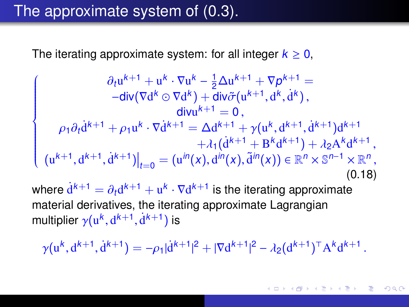#### The approximate system of [\(0.3\)](#page-9-0).

The iterating approximate system: for all integer  $k \geq 0$ ,

<span id="page-24-0"></span>
$$
\begin{cases}\n\frac{\partial_t u^{k+1} + u^k \cdot \nabla u^k - \frac{1}{2} \Delta u^{k+1} + \nabla p^{k+1}}{-\text{div}(\nabla d^k \odot \nabla d^k) + \text{div} \tilde{\sigma}(u^{k+1}, d^k, \dot{d}^k)}, \\
\frac{\text{div} u^{k+1} = 0}{2}, \\
\rho_1 \partial_t \dot{d}^{k+1} + \rho_1 u^k \cdot \nabla \dot{d}^{k+1} = \Delta d^{k+1} + \gamma (u^k, d^{k+1}, \dot{d}^{k+1}) d^{k+1} \\
+ \lambda_1 (\dot{d}^{k+1} + B^k d^{k+1}) + \lambda_2 A^k d^{k+1}, \\
(u^{k+1}, d^{k+1}, \dot{d}^{k+1})|_{t=0} = (u^{in}(x), d^{in}(x), \tilde{d}^{in}(x)) \in \mathbb{R}^n \times \mathbb{S}^{n-1} \times \mathbb{R}^n,\n\end{cases}
$$
\n(0.18)

where  $d^{k+1} = \partial_t d^{k+1} + u^k \cdot \nabla d^{k+1}$  is the iterating approximate<br>material derivatives, the iterating approximate Lagrangian material derivatives, the iterating approximate Lagrangian multiplier  $\gamma(\mathrm{u}^k,\mathrm{d}^{k+1},\mathrm{d}^{k+1})$  is

$$
\gamma(\mathbf{u}^{k}, \mathbf{d}^{k+1}, \dot{\mathbf{d}}^{k+1}) = -\rho_1 |\dot{\mathbf{d}}^{k+1}|^2 + |\nabla \mathbf{d}^{k+1}|^2 - \lambda_2 (\mathbf{d}^{k+1})^\top \mathbf{A}^k \mathbf{d}^{k+1}.
$$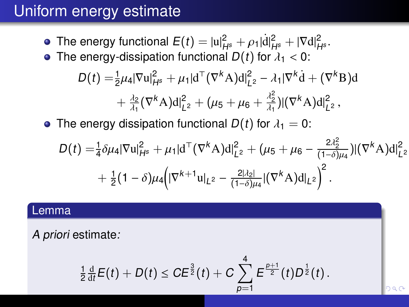### Uniform energy estimate

The energy functional  $E(t) = |u|_{H^s}^2 + \rho_1 |\dot{d}|_{H^s}^2 + |\nabla d|_{H^s}^2$ .<br>The energy-dissipation functional  $D(t)$  for  $\lambda_t < 0$ . • The energy-dissipation functional  $D(t)$  for  $\lambda_1 < 0$ :

$$
D(t) = \frac{1}{2}\mu_4 |\nabla u|_{H^s}^2 + \mu_1 |d^\top (\nabla^k A) d|_{L^2}^2 - \lambda_1 |\nabla^k d + (\nabla^k B) d
$$
  
+  $\frac{\lambda_2}{\lambda_1} (\nabla^k A) d|_{L^2}^2 + (\mu_5 + \mu_6 + \frac{\lambda_2^2}{\lambda_1}) |(\nabla^k A) d|_{L^2}^2$ ,

The energy dissipation functional  $D(t)$  for  $\lambda_1=0$ :

$$
D(t) = \frac{1}{4} \delta \mu_4 |\nabla \mathbf{u}|_{H^s}^2 + \mu_1 |\mathbf{d}^\top (\nabla^k \mathbf{A}) \mathbf{d}|_{L^2}^2 + (\mu_5 + \mu_6 - \frac{2\lambda_2^2}{(1-\delta)\mu_4})|(\nabla^k \mathbf{A}) \mathbf{d}|_{L^2}^2 + \frac{1}{2} (1-\delta) \mu_4 \Big(|\nabla^{k+1} \mathbf{u}|_{L^2} - \frac{2|\lambda_2|}{(1-\delta)\mu_4} |(\nabla^k \mathbf{A}) \mathbf{d}|_{L^2}\Big)^2.
$$

#### Lemma

A priori estimate:

$$
\frac{1}{2}\frac{\mathrm{d}}{\mathrm{d}t}E(t)+D(t)\leq CE^{\frac{3}{2}}(t)+C\sum_{p=1}^{4}E^{\frac{p+1}{2}}(t)D^{\frac{1}{2}}(t).
$$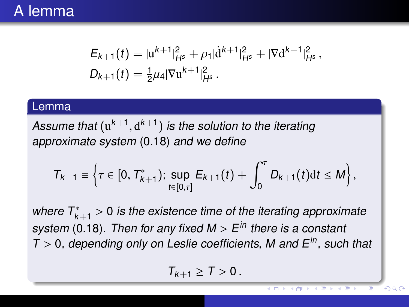#### A lemma

$$
E_{k+1}(t) = |u^{k+1}|_{H^s}^2 + \rho_1 |\dot{d}^{k+1}|_{H^s}^2 + |\nabla d^{k+1}|_{H^s}^2,
$$
  

$$
D_{k+1}(t) = \frac{1}{2}\mu_4 |\nabla u^{k+1}|_{H^s}^2.
$$

#### Lemma

Assume that  $(u^{k+1}, d^{k+1})$  is the solution to the iterating<br>approximate system (0.18) and we define approximate system [\(0.18\)](#page-24-0) and we define

$$
T_{k+1} \equiv \left\{\tau \in [0, T_{k+1}^*)\,;\, \sup_{t \in [0,\tau]} E_{k+1}(t) + \int_0^{\tau} D_{k+1}(t) \mathrm{d}t \leq M \right\},\,
$$

where  $T_{k+1}^* > 0$  is the existence time of the iterating approximate<br>exatent (0.18). Then for any fixed  $M > F_{k}^{in}$  there is a constant system [\(0.18\)](#page-24-0). Then for any fixed M >  $E^{in}$  there is a constant<br>T > 0. depending only on Leslie coefficients. M and  $E^{in}$ , such  $T > 0$ , depending only on Leslie coefficients, M and  $E^{in}$ , such that

$$
T_{k+1}\geq T>0.
$$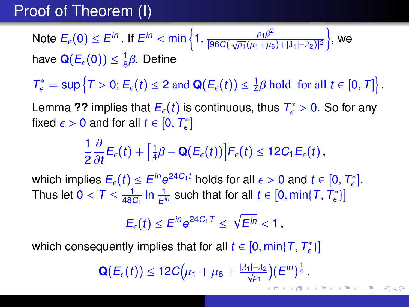## Proof of Theorem (I)

Note  $E_{\epsilon}(0) \leq E^{in}$ . If  $E^{in} < \min\left\{1, \frac{\rho_1 \beta^2}{\sqrt{p_1}(\mu_1 + \mu_2)}\right\}$  $\frac{\mu_1 \mu_2}{[96C(\sqrt{\rho_1}(\mu_1+\mu_6)+|\lambda_1|- \lambda_2)]^2}$  $\big\}$ , we have  $\mathbf{Q}(E_{\epsilon}(0)) \leq \frac{1}{8}$  $\frac{1}{8}$  $\beta$ . Define

 $T_{\epsilon}^* = \sup \{ T > 0; E_{\epsilon}(t) \leq 2 \text{ and } \mathbf{Q}(E_{\epsilon}(t)) \leq \frac{1}{4} \}$  $\frac{1}{4}\beta$  hold for all  $t \in [0, T]$ 

Lemma [??](#page-0-1) implies that  $E_{\epsilon}(t)$  is continuous, thus  $T_{\epsilon}^{*} > 0$ . So for any fixed  $\epsilon > 0$  and for all  $t \in [0, T^{*}]$ fixed  $\epsilon > 0$  and for all  $t \in [0, T_{\epsilon}^*]$ 

$$
\frac{1}{2}\frac{\partial}{\partial t}E_{\epsilon}(t)+\Big[\frac{1}{4}\beta-\mathbf{Q}(E_{\epsilon}(t))\Big]F_{\epsilon}(t)\leq 12C_1E_{\epsilon}(t),
$$

which implies  $E_{\epsilon}(t) \leq E^{in} e^{24C_1t}$  holds for all  $\epsilon > 0$  and  $t \in [0, T_{\epsilon}^*].$ <br>Thus let  $0 < T < \frac{1}{\epsilon}$  in  $\frac{1}{\epsilon}$  such that for all  $t \in [0, \min\{T, T^*\}]$ Thus let  $0 < T \leq \frac{1}{480}$  $\frac{1}{48C_1}$  In  $\frac{1}{E^{in}}$  such that for all  $t \in [0, min\{T, T^*_{\epsilon}\}]$ 

$$
E_{\epsilon}(t) \leq E^{in} e^{24C_1T} \leq \sqrt{E^{in}} < 1,
$$

which consequently implies that for all  $t \in [0, \min\{T, T_{\epsilon}^*\}]$ 

$$
\mathbf{Q}(E_{\epsilon}(t)) \leq 12C\big(\mu_1+\mu_6+\tfrac{|\lambda_1|-\lambda_2}{\sqrt{\rho_1}}\big)(E^{in})^{\frac{1}{4}}.
$$

 $\left\{ \begin{array}{ccc} 1 & 0 & 0 \\ 0 & 1 & 0 \end{array} \right.$  $\left\{ \begin{array}{ccc} 1 & 0 & 0 \\ 0 & 1 & 0 \end{array} \right.$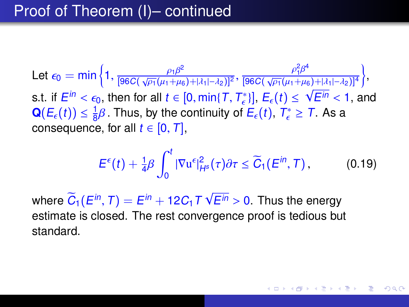Let  $\epsilon_0 = \min\left\{1, \frac{\rho_1\beta^2}{[96C(\sqrt{\rho_1}(\mu_1 + \mu_6))} \right\}$  $\frac{\rho_1 \beta^2}{[96C(\sqrt{\rho_1}(\mu_1 + \mu_6) + |\lambda_1| - \lambda_2)]^2}, \frac{\rho_1^2 \beta^4}{[96C(\sqrt{\rho_1}(\mu_1 + \mu_6) + |\lambda_1| - \lambda_2)]^2}$  $\frac{\overline{P_1P}}{[96C(\sqrt{\rho_1}(\mu_1+\mu_6)+|\lambda_1|-\lambda_2)]^4}$  $\big\}$ s.t. if  $E^{in} < \epsilon_0$ , then for all  $t \in [0, \min\{T, T_{\epsilon}^{*}\}], E_{\epsilon}(t) \le \sqrt{E^{in}} < 1$ , and  $\Omega(F(t)) < 1$ . Thus by the continuity of  $F(t)$ ,  $T^{*} > T$ , As a  $\mathbf{Q}(E_{\epsilon}(t)) \leq \frac{1}{8}\beta$ . Thus, by the continuity of ر 6≀<br>'  $\frac{1}{8}\beta$ . Thus, by the continuity of  $E_{\epsilon}(t)$ ,  $T_{\epsilon}^{*} \geq T$ . As a consequence, for all  $t \in [0, T]$ ,

$$
E^{\epsilon}(t)+\tfrac{1}{4}\beta\int_0^t|\nabla u^{\epsilon}|^2_{H^s}(\tau)\partial\tau\leq \widetilde{C}_1(E^{in},\mathcal{T}),\qquad (0.19)
$$

<span id="page-28-0"></span>イロト イ母 トイヨ トイヨ トー

where  $\tilde{C}_1(E^{in},T)=E^{in}+12C_1T$ √  $E^{in} > 0$ . Thus the energy<br>gence proof is tedious by estimate is closed. The rest convergence proof is tedious but standard.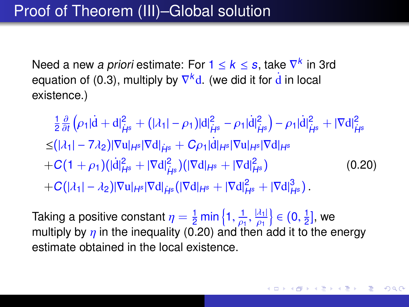Need a new *a priori* estimate: For 1  $\leq$   $k$   $\leq$  *s*, take  $\nabla^k$  in 3rd equation of [\(0.3\)](#page-9-0), multiply by  $\nabla^k$ d. (we did it for  $\dot{\mathbf{d}}$  in local existence.)

<span id="page-29-0"></span>1 2 ∂ ∂t  $(\rho_1|d+d|^2_{\dot{H}^s}+(|\lambda_1|-\rho_1)|d|^2_{\dot{H}^s}-\rho_1|d|^2_{\dot{H}^s})-\rho_1|d|^2_{\dot{H}^s}+|\nabla d|^2_{\dot{H}^s}$  $\leq (|\lambda_1| - 7\lambda_2)|\nabla u|_{H^s} |\nabla d|_{\dot{H}^s} + C\rho_1 |\dot{d}|_{H^s} |\nabla u|_{H^s} |\nabla d|_{H^s}$  $+C(1+\rho_1)(|d|^2_{H^s}+|\nabla d|^2_{\dot{H}^s})(|\nabla d|_{H^s}+|\nabla d|^2_{\dot{H}^s})$  $(0.20)$  $+C(|\lambda_1|-\lambda_2)|\nabla u|_{H^s}|\nabla d|_{\dot{H}^s}(|\nabla d|_{H^s}+|\nabla d|_{H^s}^2+|\nabla d|_{H^s}^3).$ 

Taking a positive constant  $\eta = \frac{1}{2} \min \left\{ 1, \frac{1}{\rho_1}, \frac{|\lambda_1|}{\rho_1} \right\} \in (0, \frac{1}{2})$ <br>multiply by n in the inequality (0.20) and then add it to multiply by  $\eta$  in the inequality [\(0.20\)](#page-29-0) and then add it to the energy  $\frac{1}{2}$ ], we estimate obtained in the local existence.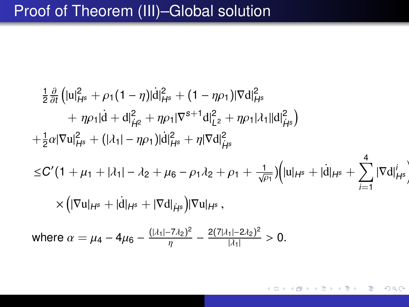### Proof of Theorem (III)–Global solution

$$
\frac{1}{2} \frac{\partial}{\partial t} \left( |u|_{H^s}^2 + \rho_1 (1 - \eta) |d|_{H^s}^2 + (1 - \eta \rho_1) |\nabla d|_{H^s}^2 + \eta \rho_1 |d + d|_{\mu^2}^2 + \eta \rho_1 |\nabla^{s+1} d|_{L^2}^2 + \eta \rho_1 |\lambda_1| |d|_{\mu^s}^2 \right) \n+ \frac{1}{2} \alpha |\nabla u|_{H^s}^2 + (|\lambda_1| - \eta \rho_1) |d|_{H^s}^2 + \eta |\nabla d|_{\mu^s}^2 \n\leq C' (1 + \mu_1 + |\lambda_1| - \lambda_2 + \mu_6 - \rho_1 \lambda_2 + \rho_1 + \frac{1}{\sqrt{\rho_1}}) \left( |u|_{H^s} + |\dot{d}|_{H^s} + \sum_{i=1}^4 |\nabla d|_{\mu^s}^i \right) \n\times \left( |\nabla u|_{H^s} + |\dot{d}|_{H^s} + |\nabla d|_{\mu^s} \right) |\nabla u|_{H^s},
$$
\nwhere  $\alpha = \mu_4 - 4\mu_6 - \frac{(|\lambda_1| - 7\lambda_2)^2}{\eta} - \frac{2(7|\lambda_1| - 2\lambda_2)^2}{|\lambda_1|} > 0.$ 

 $QQ$ すロト (御) すきトすきト ₹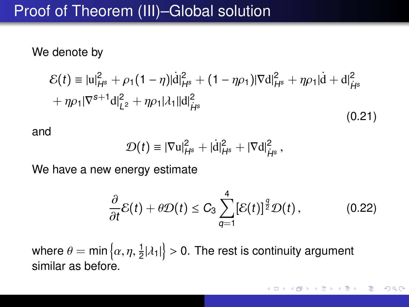### Proof of Theorem (III)–Global solution

#### We denote by

$$
\mathcal{E}(t) = |u|_{H^s}^2 + \rho_1 (1 - \eta) |\dot{d}|_{H^s}^2 + (1 - \eta \rho_1) |\nabla d|_{H^s}^2 + \eta \rho_1 |\dot{d} + d|_{H^s}^2
$$
  
+  $\eta \rho_1 |\nabla^{s+1} d|_{L^2}^2 + \eta \rho_1 |\lambda_1| |d|_{H^s}^2$  (0.21)

and

$$
\mathcal{D}(t) \equiv |\nabla u|_{H^s}^2 + |\dot{d}|_{H^s}^2 + |\nabla d|_{\dot{H}^s}^2,
$$

We have a new energy estimate

$$
\frac{\partial}{\partial t}\mathcal{E}(t)+\theta\mathcal{D}(t)\leq C_3\sum_{q=1}^4\left[\mathcal{E}(t)\right]^{\frac{q}{2}}\mathcal{D}(t),\qquad(0.22)
$$

where  $\theta = \min\left\{\alpha, \eta, \frac{1}{2}|\lambda_1|\right\} > 0.$  The rest is continuity argument similar as before.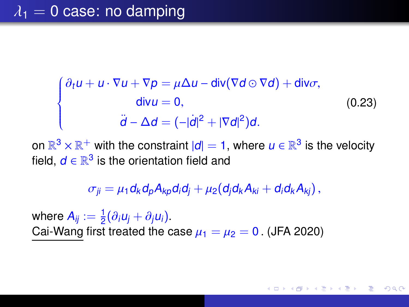#### $\lambda_1 = 0$  case: no damping

<span id="page-32-1"></span>
$$
\begin{cases}\n\frac{\partial_t u + u \cdot \nabla u + \nabla p = \mu \Delta u - \text{div}(\nabla d \odot \nabla d) + \text{div}\sigma, \\
\text{div} u = 0, \\
\ddot{d} - \Delta d = (-|\dot{d}|^2 + |\nabla d|^2)d.\n\end{cases}
$$
\n(0.23)

on  $\mathbb{R}^3 \times \mathbb{R}^+$  with the constraint  $|d|=1,$  where  $u \in \mathbb{R}^3$  is the velocity field,  $d \in \mathbb{R}^3$  is the orientation field and

$$
\sigma_{ji} = \mu_1 d_k d_p A_{kp} d_i d_j + \mu_2 (d_j d_k A_{ki} + d_i d_k A_{kj}),
$$

<span id="page-32-0"></span>←ロト ←何ト ←ヨト ←ヨト

where  $A_{ij} := \frac{1}{2}(\partial_i u_j + \partial_j u_i)$ .<br>Cai-Wang first treated the c Cai-Wang first treated the case  $\mu_1 = \mu_2 = 0$ . (JFA 2020)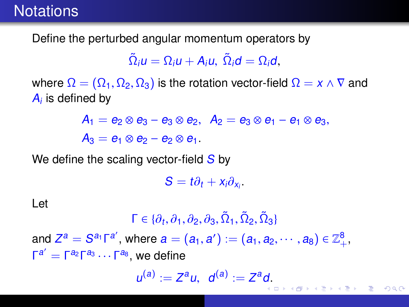### **Notations**

Define the perturbed angular momentum operators by

$$
\tilde{\Omega}_i u = \Omega_i u + A_i u, \ \tilde{\Omega}_i d = \Omega_i d,
$$

where  $\Omega = (\Omega_1, \Omega_2, \Omega_3)$  is the rotation vector-field  $\Omega = x \wedge \nabla$  and  $A_i$  is defined by

> $A_1 = e_2 \otimes e_3 - e_3 \otimes e_2$ ,  $A_2 = e_3 \otimes e_1 - e_1 \otimes e_3$  $A_3 = e_1 \otimes e_2 - e_2 \otimes e_1$ .

We define the scaling vector-field  $S$  by

 $S = t\partial_t + x_i\partial_{x_i}.$ 

Let

 $\Gamma \in \{\partial_t, \partial_1, \partial_2, \partial_3, \tilde{\Omega}_1, \tilde{\Omega}_2, \tilde{\Omega}_3\}$ and  $Z^a = S^{a_1} \Gamma^{a'}$ , where  $a = (a_1, a') := (a_1, a_2, \dots, a_8) \in \mathbb{Z}_+^8$ ,  $\Gamma^{a'} = \Gamma^{a_8} \Gamma^{a_8}$ , we define  $\Gamma^{a'} = \Gamma^{a_2} \Gamma^{a_3} \cdots \Gamma^{a_8}$ , we define

 $u^{(a)} := Z^a u$ ,  $d^{(a)} := Z^a d$ [.](#page-32-0)

 $QQQ$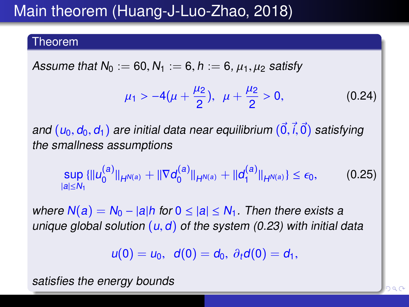## Main theorem (Huang-J-Luo-Zhao, 2018)

#### Theorem

Assume that  $N_0 := 60, N_1 := 6, h := 6, \mu_1, \mu_2$  satisfy

$$
\mu_1 > -4(\mu + \frac{\mu_2}{2}), \ \ \mu + \frac{\mu_2}{2} > 0, \tag{0.24}
$$

and  $(u_0, d_0, d_1)$  are initial data near equilibrium  $(\vec{0}, \vec{i}, \vec{0})$  satisfying the smallness assumptions

$$
\sup_{|a|\leq N_1}\{\|u_0^{(a)}\|_{H^{N(a)}}+\|\nabla d_0^{(a)}\|_{H^{N(a)}}+\|d_1^{(a)}\|_{H^{N(a)}}\}\leq \epsilon_0,\qquad(0.25)
$$

where  $N(a) = N_0 - |a|h$  for  $0 \le |a| \le N_1$ . Then there exists a unique global solution  $(u, d)$  of the system [\(0.23\)](#page-32-1) with initial data

 $u(0) = u_0, d(0) = d_0, \partial_t d(0) = d_1,$ 

satisfies the energy bounds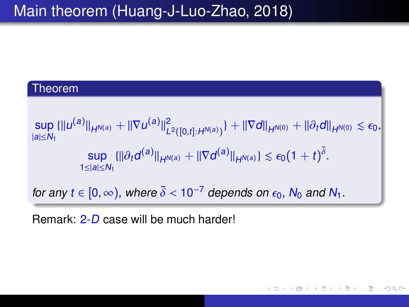## Main theorem (Huang-J-Luo-Zhao, 2018)

#### Theorem

$$
\sup_{|a| \leq N_1} {\| |u^{(a)}| \|_{H^{N(a)}} + \| \nabla u^{(a)} \|^2_{L^2([0,t]:H^{N(a)})}} + \| \nabla d \|_{H^{N(0)}} + \| \partial_t d \|_{H^{N(0)}} \lesssim \epsilon_0,
$$
  
\n
$$
\sup_{1 \leq |a| \leq N_1} {\| | \partial_t d^{(a)} \|_{H^{N(a)}} + \| \nabla d^{(a)} \|_{H^{N(a)}}} \lesssim \epsilon_0 (1+t)^{\overline{\delta}}.
$$
  
\nfor any  $t \in [0, \infty)$ , where  $\overline{\delta} < 10^{-7}$  depends on  $\epsilon_0$ ,  $N_0$  and  $N_1$ .

 $QQ$ 

Ε

イロト イ母 トイラ トイラト

Remark: 2-D case will be much harder!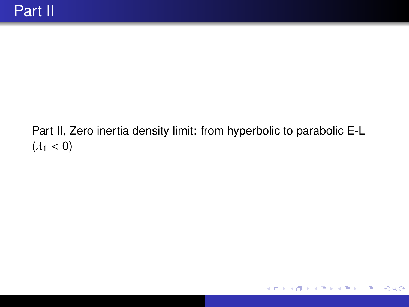#### Part II, Zero inertia density limit: from hyperbolic to parabolic E-L  $(\lambda_1 < 0)$

 $QQ$ 

Ε

すロト (御) すきとすきと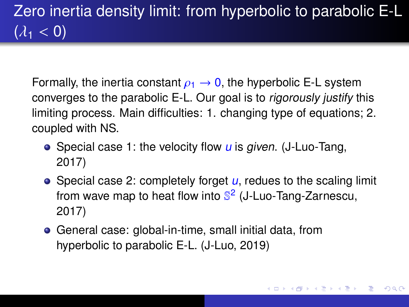# Zero inertia density limit: from hyperbolic to parabolic E-L  $(\lambda_1 < 0)$

Formally, the inertia constant  $\rho_1 \rightarrow 0$ , the hyperbolic E-L system converges to the parabolic E-L. Our goal is to rigorously justify this limiting process. Main difficulties: 1. changing type of equations; 2. coupled with NS.

- Special case 1: the velocity flow  $\mu$  is given. (J-Luo-Tang, 2017)
- Special case 2: completely forget  $u$ , redues to the scaling limit from wave map to heat flow into S<sup>2</sup> (J-Luo-Tang-Zarnescu, 2017)
- General case: global-in-time, small initial data, from hyperbolic to parabolic E-L. (J-Luo, 2019)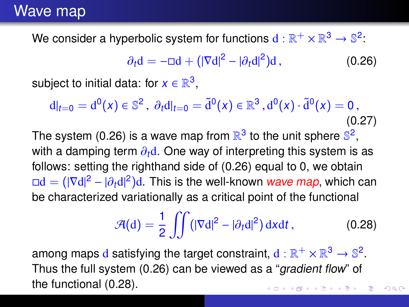We consider a hyperbolic system for functions  $\mathrm{d}:\mathbb{R}^+\times\mathbb{R}^3\to\mathbb{S}^2\mathbb{R}^3$ 

<span id="page-38-0"></span>
$$
\partial_t \mathbf{d} = -\mathbf{d} + (|\nabla \mathbf{d}|^2 - |\partial_t \mathbf{d}|^2) \mathbf{d},\tag{0.26}
$$

subject to initial data: for  $x\in\mathbb{R}^3,$ 

 $d|_{t=0} = d^0(x) \in \mathbb{S}^2$ ,  $\partial_t d|_{t=0} = \tilde{d}^0(x) \in \mathbb{R}^3$ ,  $d^0(x) \cdot \tilde{d}^0(x) = 0$ , (0.27)

The system [\(0.26\)](#page-38-0) is a wave map from  $\mathbb{R}^3$  to the unit sphere  $\mathbb{S}^2$ , with a damping term  $\partial_t d$ . One way of interpreting this system is as follows: setting the righthand side of [\(0.26\)](#page-38-0) equal to 0, we obtain  $\Box d = (|\nabla d|^2 - |\partial_t d|^2)d$ . This is the well-known wave map, which can<br>be characterized variationally as a critical point of the functional be characterized variationally as a critical point of the functional

<span id="page-38-1"></span>
$$
\mathcal{A}(\mathrm{d}) = \frac{1}{2} \iint \left( |\nabla \mathrm{d}|^2 - |\partial_t \mathrm{d}|^2 \right) \mathrm{d}x \mathrm{d}t, \tag{0.28}
$$

 $QQ$ 

among maps  $\text{d}$  satisfying the target constraint,  $\text{d}:\mathbb{R}^+\times\mathbb{R}^3\to\mathbb{S}^2.$ Thus the full system [\(0.26\)](#page-38-0) can be viewed as a "gradient flow" of the functional [\(0.28\)](#page-38-1).イロト イ母 トイヨ トイヨ トー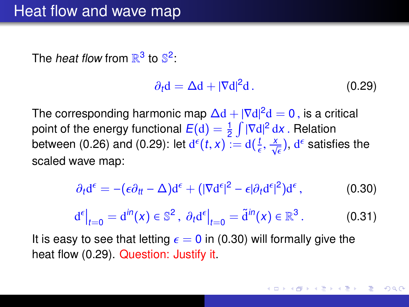The *heat flow* from  $\mathbb{R}^3$  to  $\mathbb{S}^2$ :

<span id="page-39-0"></span>
$$
\partial_t \mathbf{d} = \Delta \mathbf{d} + |\nabla \mathbf{d}|^2 \mathbf{d}.
$$
 (0.29)

The corresponding harmonic map  $\Delta d + |\nabla d|^2 d = 0$ , is a critical<br>point of the energy functional  $F(d) = \frac{1}{2} \int |\nabla d|^2 dx$ . Belation point of the energy functional  $E(\mathrm{d}) = \frac{1}{2}\int |\nabla \mathrm{d}|^2 \,\mathrm{d} x$  . Relation<br>between (0.26) and (0.29): let  $\mathrm{d} \epsilon(t,x) := \mathrm{d} (\frac{t}{2} - x)$  ,  $\mathrm{d} \epsilon$  satisf between [\(0.26\)](#page-38-0) and [\(0.29\)](#page-39-0): let  $d^{\epsilon}(t, x) := d(\frac{t}{\epsilon})$ ,  $\frac{x}{\sqrt{\epsilon}}$ ), d<sup> $\epsilon$ </sup> satisfies the scaled wave map:

<span id="page-39-1"></span>
$$
\partial_t \mathbf{d}^{\epsilon} = -(\epsilon \partial_{tt} - \Delta) \mathbf{d}^{\epsilon} + (|\nabla \mathbf{d}^{\epsilon}|^2 - \epsilon |\partial_t \mathbf{d}^{\epsilon}|^2) \mathbf{d}^{\epsilon}, \qquad (0.30)
$$

<span id="page-39-2"></span>
$$
\mathrm{d}^{\epsilon}\big|_{t=0} = \mathrm{d}^{\mathrm{i}n}(x) \in \mathbb{S}^2, \ \partial_t \mathrm{d}^{\epsilon}\big|_{t=0} = \tilde{\mathrm{d}}^{\mathrm{i}n}(x) \in \mathbb{R}^3. \tag{0.31}
$$

It is easy to see that letting  $\epsilon = 0$  in [\(0.30\)](#page-39-1) will formally give the heat flow [\(0.29\)](#page-39-0). Question: Justify it.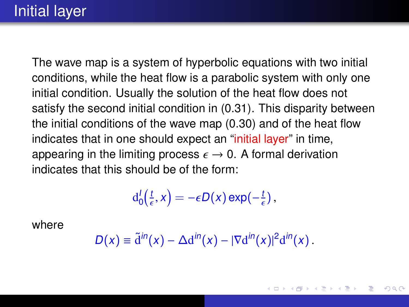### Initial layer

The wave map is a system of hyperbolic equations with two initial conditions, while the heat flow is a parabolic system with only one initial condition. Usually the solution of the heat flow does not satisfy the second initial condition in [\(0.31\)](#page-39-2). This disparity between the initial conditions of the wave map [\(0.30\)](#page-39-1) and of the heat flow indicates that in one should expect an "initial layer" in time, appearing in the limiting process  $\epsilon \to 0$ . A formal derivation indicates that this should be of the form:

$$
d_0'(\tfrac{t}{\epsilon},x) = -\epsilon D(x) \exp(-\tfrac{t}{\epsilon}),
$$

where

$$
D(x) \equiv \tilde{\mathrm{d}}^{in}(x) - \Delta \mathrm{d}^{in}(x) - |\nabla \mathrm{d}^{in}(x)|^2 \mathrm{d}^{in}(x).
$$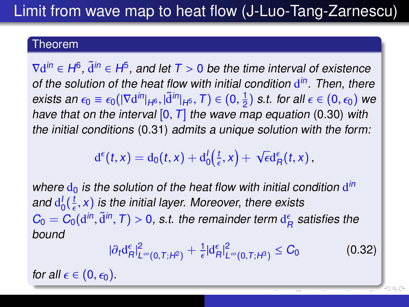## Limit from wave map to heat flow (J-Luo-Tang-Zarnescu)

#### Theorem

 $\nabla d^{in} \in H^6$ ,  $\tilde{d}^{in} \in H^5$ , and let  $T > 0$  be the time interval of existence<br>of the solution of the heat flow with initial condition  $d^{in}$ . Then, then of the solution of the heat flow with initial condition  $d^{in}$ . Then, there exists an  $\epsilon_0 \equiv \epsilon_0 (|\nabla \mathrm{d}^{in}|_{H^6}, |\tilde{\mathrm{d}}^{in}|_{H^5}, T) \in (0, \frac{1}{2})$ <br>have that on the interval [0, T], the wave m  $(\frac{1}{2})$  s.t. for all  $\epsilon \in (0,\epsilon_0)$  we have that on the interval  $[0, T]$  the wave map equation [\(0.30\)](#page-39-1) with the initial conditions [\(0.31\)](#page-39-2) admits a unique solution with the form:

> $d^{\epsilon}(t, x) = d_0(t, x) + d_0^{t}(\frac{t}{\epsilon}, x) +$ √  $\epsilon d_R^{\epsilon}(t,x)$ ,

where  $d_0$  is the solution of the heat flow with initial condition  $d^{in}$ and  $d_0^l(\frac{t}{\epsilon}, x)$  is the initial layer. Moreover, there exists<br>C. C. (all  $\tilde{d}$ ll, T.) > 0, at the remainder term d<sup>e</sup> a  $C_0 = C_0(\mathbf{d}^{in}, \tilde{\mathbf{d}}^{in}, T) > 0$ , s.t. the remainder term  $\mathbf{d}_R^{\epsilon}$  satisfies the bound

$$
|\partial_t \mathrm{d}_R^{\epsilon}|_{L^{\infty}(0,T;H^2)}^2 + \tfrac{1}{\epsilon} |\mathrm{d}_R^{\epsilon}|_{L^{\infty}(0,T;H^3)}^2 \leq C_0 \tag{0.32}
$$

<span id="page-41-0"></span> $Q \cap C$ 

for all  $\epsilon \in (0, \epsilon_0)$ .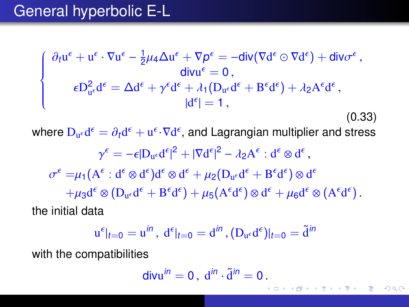### General hyperbolic E-L

<span id="page-42-0"></span>
$$
\begin{cases}\n\partial_t u^{\epsilon} + u^{\epsilon} \cdot \nabla u^{\epsilon} - \frac{1}{2} \mu_4 \Delta u^{\epsilon} + \nabla p^{\epsilon} = -\text{div}(\nabla d^{\epsilon} \odot \nabla d^{\epsilon}) + \text{div} \sigma^{\epsilon}, \\
\epsilon D_{u^{\epsilon}}^2 d^{\epsilon} = \Delta d^{\epsilon} + \gamma^{\epsilon} d^{\epsilon} + \lambda_1 (D_{u^{\epsilon}} d^{\epsilon} + B^{\epsilon} d^{\epsilon}) + \lambda_2 A^{\epsilon} d^{\epsilon}, \\
|d^{\epsilon}| = 1, \\
\end{cases}
$$
\n(0.33)

(0.33)

where  $D_{u^{\epsilon}}d^{\epsilon} = \partial_{t}d^{\epsilon} + u^{\epsilon}\cdot \nabla d^{\epsilon}$ , and Lagrangian multiplier and stress

$$
\gamma^{\epsilon} = -\epsilon |D_{u^{\epsilon}} d^{\epsilon}|^{2} + |\nabla d^{\epsilon}|^{2} - \lambda_{2} A^{\epsilon} : d^{\epsilon} \otimes d^{\epsilon},
$$

$$
\sigma^{\epsilon} = \mu_{1} (A^{\epsilon} : d^{\epsilon} \otimes d^{\epsilon}) d^{\epsilon} \otimes d^{\epsilon} + \mu_{2} (D_{u^{\epsilon}} d^{\epsilon} + B^{\epsilon} d^{\epsilon}) \otimes d^{\epsilon}
$$

$$
+ \mu_{3} d^{\epsilon} \otimes (D_{u^{\epsilon}} d^{\epsilon} + B^{\epsilon} d^{\epsilon}) + \mu_{5} (A^{\epsilon} d^{\epsilon}) \otimes d^{\epsilon} + \mu_{6} d^{\epsilon} \otimes (A^{\epsilon} d^{\epsilon}).
$$
the initial data

$$
u^{\epsilon}|_{t=0} = u^{in}
$$
,  $d^{\epsilon}|_{t=0} = d^{in}$ ,  $(D_{u^{\epsilon}}d^{\epsilon})|_{t=0} = \tilde{d}^{in}$ 

with the compatibilities

$$
\mathsf{divu}^{in}=0\,,\,\mathrm{d}^{in}\cdot\tilde{\mathrm{d}}^{in}=0\,.
$$

∍  $2Q$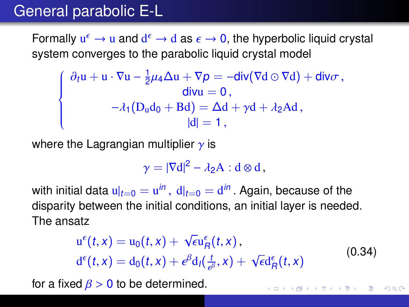### General parabolic E-L

 $\sqrt{ }$  $\left\{\right.$ 

Formally  $u^{\epsilon} \to u$  and  $d^{\epsilon} \to d$  as  $\epsilon \to 0$ , the hyperbolic liquid crystal<br>system converges to the parabolic liquid crystal model system converges to the parabolic liquid crystal model

$$
\partial_t \mathbf{u} + \mathbf{u} \cdot \nabla \mathbf{u} - \frac{1}{2} \mu_4 \Delta \mathbf{u} + \nabla p = -\text{div}(\nabla \mathbf{d} \odot \nabla \mathbf{d}) + \text{div}\sigma,
$$
  
\ndivu = 0,  
\n
$$
-\lambda_1 (\mathbf{D}_\mathbf{u} \mathbf{d}_0 + \mathbf{B} \mathbf{d}) = \Delta \mathbf{d} + \gamma \mathbf{d} + \lambda_2 \mathbf{A} \mathbf{d},
$$
  
\n
$$
|\mathbf{d}| = 1,
$$

where the Lagrangian multiplier  $\gamma$  is

$$
\gamma=|\nabla d|^2-\lambda_2A:d\otimes d\,,
$$

with initial data  $u|_{t=0} = u^{in}$  ,  $d|_{t=0} = d^{in}$  . Again, because of the<br>disparity between the initial conditions, an initial layer is neede disparity between the initial conditions, an initial layer is needed. The ansatz

$$
u^{\epsilon}(t,x) = u_0(t,x) + \sqrt{\epsilon}u^{\epsilon}_R(t,x),
$$
  
\n
$$
d^{\epsilon}(t,x) = d_0(t,x) + \epsilon^{\beta}d_I(\frac{t}{\epsilon^{\beta}},x) + \sqrt{\epsilon}d^{\epsilon}_R(t,x)
$$
\n(0.34)

for a fixed  $\beta > 0$  to be determined.

イロト イ母 トイヨ トイヨ トー  $QQ$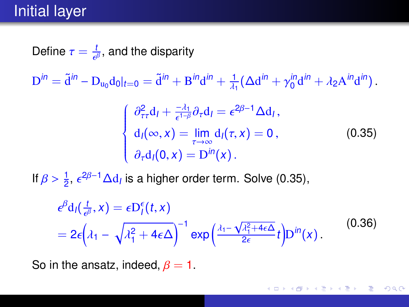### Initial layer

Define  $\tau = \frac{t}{\epsilon^{\beta}}$ , and the disparity

 ${\rm D}^{in}=\tilde{\rm d}^{in}-{\rm D}_{\rm u_0}{\rm d}_0|_{t=0}=\tilde{\rm d}^{in}+{\rm B}^{in}{\rm d}^{in}+\frac{1}{\lambda^2}$ λ1  $(\Delta d^{in} + \gamma_0^{in} d^{in} + \lambda_2 A^{in} d^{in})$ .

<span id="page-44-0"></span>
$$
\begin{cases}\n\frac{\partial_{\tau\tau}^2 d_I + \frac{-\lambda_1}{\epsilon^{1-\beta}} \partial_{\tau} d_I = \epsilon^{2\beta - 1} \Delta d_I, \\
d_I(\infty, x) = \lim_{\tau \to \infty} d_I(\tau, x) = 0, \\
\frac{\partial_{\tau} d_I(0, x) = D^{in}(x)}{(\cos \theta)}.\n\end{cases}
$$
\n(0.35)

If  $\beta > \frac{1}{2}$ ,  $\epsilon^{2\beta - 1} \Delta d_l$  is a higher order term. Solve [\(0.35\)](#page-44-0),

$$
\epsilon^{\beta} d_{1}(\frac{t}{\epsilon^{\beta}}, x) = \epsilon D_{1}^{\epsilon}(t, x)
$$
  
=  $2\epsilon \left(\lambda_{1} - \sqrt{\lambda_{1}^{2} + 4\epsilon \Delta}\right)^{-1} \exp\left(\frac{\lambda_{1} - \sqrt{\lambda_{1}^{2} + 4\epsilon \Delta}}{2\epsilon}t\right) D^{\beta n}(x).$  (0.36)

So in the ansatz, indeed,  $\beta = 1$ .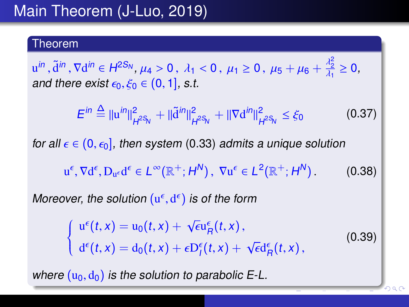## Main Theorem (J-Luo, 2019)

#### Theorem

 $u^{in}$ ,  $\tilde{d}^{in}$ ,  $\nabla d^{in} \in H^{2S_N}$ ,  $\mu_4 > 0$ ,  $\lambda_1 < 0$ ,  $\mu_1 \ge 0$ ,  $\mu_5 + \mu_6 + \frac{\lambda_2^2}{\lambda_1^2}$ <br>and there exist  $\epsilon_2$ ,  $\xi_2 \in (0, 1]$ , s t λ1 ≥ 0, and there exist  $\epsilon_0, \xi_0 \in (0, 1]$ , s.t.

 $E^{in} \stackrel{\Delta}{=} \|u^{in}\|_L^2$  $\frac{2}{H^{2S_N}} + ||\tilde{d}^{in}||_F^2$  $_{H^{2S_{_{\rm N}}}}^2+\|\nabla \mathrm{d}^{in}\|_F^2$  $\frac{2}{H^2}S_N \leq \xi_0$ (0.37) for all  $\epsilon \in (0, \epsilon_0]$ , then system [\(0.33\)](#page-42-0) admits a unique solution  $u^{\epsilon}$ ,  $\nabla d^{\epsilon}$ ,  $D_{u^{\epsilon}}d^{\epsilon} \in L^{\infty}(\mathbb{R}^{+}; H^{N})$ ,  $\nabla u^{\epsilon} \in L^{2}(\mathbb{R}^{+}; H^{N})$  $(0.38)$ 

Moreover, the solution  $(u^{\epsilon}, d^{\epsilon})$  is of the form

 $\left\{ \right.$  $\overline{\mathcal{L}}$  $u^{\epsilon}(t,x) = u_0(t,x) + \sqrt{\epsilon}u^{\epsilon}_R(t,x),$  $d^{\epsilon}(t,x) = d_0(t,x) + \epsilon D^{\epsilon}_{I}(t,x) + \sqrt{\epsilon}d^{\epsilon}_{R}(t,x),$ (0.39)

 $\cap$ a $\cap$ 

where  $(u_0, d_0)$  is the solution to parabolic E-L.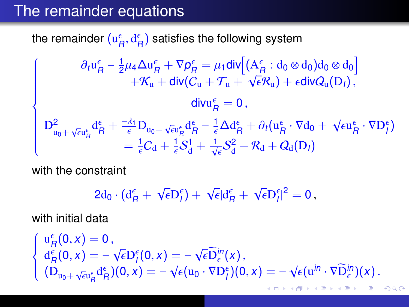### The remainder equations

the remainder  $(\mathrm{u}_R^\epsilon, \mathrm{d}_R^\epsilon)$  satisfies the following system

$$
\left\{\begin{array}{c} \partial_t u^{\epsilon}_{\mathsf{H}} - \frac{1}{2}\mu_4 \Delta u^{\epsilon}_{\mathsf{H}} + \nabla p^{\epsilon}_{\mathsf{H}} = \mu_1 \mathsf{div}\Big[ (A^{\epsilon}_{\mathsf{H}} : d_0 \otimes d_0) d_0 \otimes d_0\Big] \\ \quad + \mathcal{K}_u + \mathsf{div}(C_u + \mathcal{T}_u + \sqrt{\epsilon}\mathcal{R}_u) + \epsilon \mathsf{div}\mathcal{Q}_u(D_l) \, , \\ \mathsf{div} u^{\epsilon}_{\mathsf{H}} = 0 \, , \\ D^2_{u_0 + \sqrt{\epsilon} u^{\epsilon}_{\mathsf{H}}} d^{\epsilon}_{\mathsf{H}} + \frac{-\lambda_1}{\epsilon} D_{u_0 + \sqrt{\epsilon} u^{\epsilon}_{\mathsf{H}}} d^{\epsilon}_{\mathsf{H}} - \frac{1}{\epsilon} \Delta d^{\epsilon}_{\mathsf{H}} + \partial_t (u^{\epsilon}_{\mathsf{H}} \cdot \nabla d_0 + \sqrt{\epsilon} u^{\epsilon}_{\mathsf{H}} \cdot \nabla D^{\epsilon}_{l} ) \\ = \frac{1}{\epsilon} C_d + \frac{1}{\epsilon} S^1_d + \frac{1}{\sqrt{\epsilon}} S^2_d + \mathcal{R}_d + \mathcal{Q}_d(D_l) \end{array} \right.
$$

with the constraint

<span id="page-46-0"></span>
$$
2d_0\cdot(d_R^{\epsilon}+\sqrt{\epsilon}D_f^{\epsilon})+\sqrt{\epsilon}|d_R^{\epsilon}+\sqrt{\epsilon}D_f^{\epsilon}|^2=0,
$$

with initial data

$$
\begin{cases}\n u^{\epsilon}_{R}(0,x) = 0, \\
 d^{\epsilon}_{R}(0,x) = -\sqrt{\epsilon}D^{\epsilon}_{f}(0,x) = -\sqrt{\epsilon}\widetilde{D}^{in}_{\epsilon}(x), \\
 (D_{u_{0}+\sqrt{\epsilon}u^{\epsilon}_{R}}d^{\epsilon}_{R})(0,x) = -\sqrt{\epsilon}(u_{0}\cdot\nabla D^{\epsilon}_{f})(0,x) = -\sqrt{\epsilon}(u^{in}\cdot\nabla \widetilde{D}^{in}_{\epsilon})(x).\n\end{cases}
$$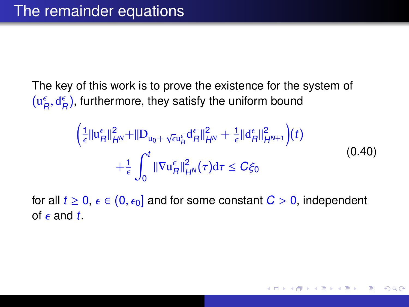The key of this work is to prove the existence for the system of  $(\mathrm{u}_R^\epsilon, \mathrm{d}_R^\epsilon)$ , furthermore, they satisfy the uniform bound

$$
\left(\frac{1}{\epsilon}||u_{R}^{\epsilon}||_{H^{N}}^{2}+||D_{u_{0}+\sqrt{\epsilon}u_{R}^{\epsilon}}d_{R}^{\epsilon}||_{H^{N}}^{2}+\frac{1}{\epsilon}||d_{R}^{\epsilon}||_{H^{N+1}}^{2}\right)(t) + \frac{1}{\epsilon}\int_{0}^{t}||\nabla u_{R}^{\epsilon}||_{H^{N}}^{2}(\tau)d\tau \leq C\xi_{0}
$$
\n(0.40)

for all  $t \ge 0$ ,  $\epsilon \in (0, \epsilon_0]$  and for some constant  $C > 0$ , independent of  $\epsilon$  and  $t$ .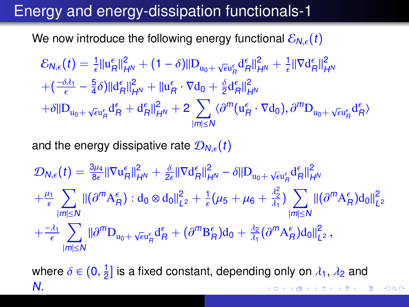### Energy and energy-dissipation functionals-1

We now introduce the following energy functional  $\mathcal{E}_{N,\epsilon}(t)$ 

$$
\mathcal{E}_{N,\epsilon}(t) = \frac{1}{\epsilon} ||u_{R}^{\epsilon}||_{H^{N}}^{2} + (1 - \delta)||D_{u_{0} + \sqrt{\epsilon}u_{R}^{\epsilon}} d_{R}^{\epsilon}||_{H^{N}}^{2} + \frac{1}{\epsilon} ||\nabla d_{R}^{\epsilon}||_{H^{N}}^{2} \n+ (\frac{-\delta\lambda_{1}}{\epsilon} - \frac{5}{4}\delta)||d_{R}^{\epsilon}||_{H^{N}}^{2} + ||u_{R}^{\epsilon} \cdot \nabla d_{0} + \frac{\delta}{2}d_{R}^{\epsilon}||_{H^{N}}^{2} \n+ \delta||D_{u_{0} + \sqrt{\epsilon}u_{R}^{\epsilon}} d_{R}^{\epsilon} + d_{R}^{\epsilon}||_{H^{N}}^{2} + 2 \sum_{|m| \leq N} \langle \partial^{m}(u_{R}^{\epsilon} \cdot \nabla d_{0}), \partial^{m}D_{u_{0} + \sqrt{\epsilon}u_{R}^{\epsilon}} d_{R}^{\epsilon} \rangle
$$

and the energy dissipative rate  $\mathcal{D}_{N,\epsilon}(t)$ 

$$
\begin{aligned} &\mathcal{D}_{N,\epsilon}(t)=\tfrac{3\mu_4}{8\epsilon}\|\nabla \mathrm{u}_R^\epsilon\|_{H^N}^2+\tfrac{\delta}{2\epsilon}\|\nabla \mathrm{d}_R^\epsilon\|_{H^N}^2-\delta\|\mathrm{D}_{\mathrm{u}_0+\sqrt{\epsilon}\mathrm{u}_R^\epsilon}\mathrm{d}_R^\epsilon\|_{H^N}^2\\&+\tfrac{\mu_1}{\epsilon}\sum_{|m|\leq N}\|(\partial^mA_R^\epsilon): \mathrm{d}_0\otimes \mathrm{d}_0\|_{L^2}^2+\tfrac{1}{\epsilon}(\mu_5+\mu_6+\tfrac{\lambda_2^2}{\lambda_1})\sum_{|m|\leq N}\|(\partial^mA_R^\epsilon)\mathrm{d}_0\|_{L^2}^2\\&+\tfrac{-\lambda_1}{\epsilon}\sum_{|m|\leq N}\|\partial^m\mathrm{D}_{\mathrm{u}_0+\sqrt{\epsilon}\mathrm{u}_R^\epsilon}\mathrm{d}_R^\epsilon+(\partial^m\mathrm{B}_R^\epsilon)\mathrm{d}_0+\tfrac{\lambda_2}{\lambda_1}(\partial^mA_R^\epsilon)\mathrm{d}_0\|_{L^2}^2\,, \end{aligned}
$$

where  $\delta \in (0, \frac{1}{2})$  $\frac{1}{2}$ ] is a fixed constant, depending only on  $\lambda_1$ ,  $\lambda_2$  and N.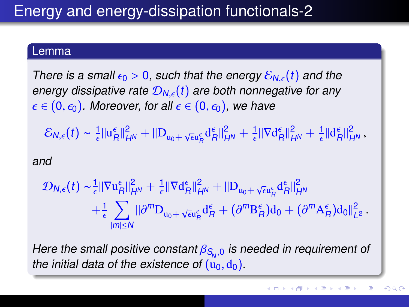## Energy and energy-dissipation functionals-2

#### Lemma

There is a small  $\epsilon_0 > 0$ , such that the energy  $\mathcal{E}_{N,\epsilon}(t)$  and the energy dissipative rate  $\mathcal{D}_{N,\epsilon}(t)$  are both nonnegative for any  $\epsilon \in (0, \epsilon_0)$ . Moreover, for all  $\epsilon \in (0, \epsilon_0)$ , we have

 $\mathcal{E}_{N,\epsilon}(t) \sim \frac{1}{\epsilon} ||u_R^{\epsilon}||_{H^N}^2 + ||D_{u_0+\sqrt{\epsilon}u_R^{\epsilon}}d_R^{\epsilon}||_{H^N}^2 + \frac{1}{\epsilon} ||\nabla d_R^{\epsilon}||_{H^N}^2 + \frac{1}{\epsilon} ||d_R^{\epsilon}||_{H^N}^2$ 

#### and

$$
\mathcal{D}_{N,\epsilon}(t) \sim \frac{1}{\epsilon} ||\nabla \mathrm{u}_R^{\epsilon}||_{H^N}^2 + \frac{1}{\epsilon} ||\nabla \mathrm{d}_R^{\epsilon}||_{H^N}^2 + ||\mathrm{D}_{\mathrm{u}_0 + \sqrt{\epsilon} \mathrm{u}_R^{\epsilon}} \mathrm{d}_R^{\epsilon}||_{H^N}^2 \n+ \frac{1}{\epsilon} \sum_{|m| \leq N} ||\partial^m \mathrm{D}_{\mathrm{u}_0 + \sqrt{\epsilon} \mathrm{u}_R^{\epsilon}} \mathrm{d}_R^{\epsilon} + (\partial^m \mathrm{B}_R^{\epsilon}) \mathrm{d}_0 + (\partial^m \mathrm{A}_R^{\epsilon}) \mathrm{d}_0 ||_{L^2}^2.
$$

Here the small positive constant  $\beta_{S_N,0}$  is needed in requirement of the initial data of the existence of ( $\mu_0$  de) the initial data of the existence of  $(u_0, d_0)$ .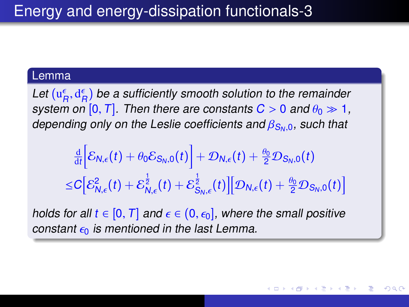#### Lemma

Let  $(u_f^{\epsilon}, d_f^{\epsilon})$  be a sufficiently smooth solution to the remainder<br>system on [0, T]. Then there are constants C > 0, and  $\theta_0 \gg 1$ . system on  $[0, T]$ . Then there are constants  $C > 0$  and  $\theta_0 \gg 1$ , depending only on the Leslie coefficients and  $\beta_{S_{\nu},0}$ , such that

$$
\frac{\frac{d}{dt}\left[\mathcal{E}_{N,\epsilon}(t)+\theta_0\mathcal{E}_{S_N,0}(t)\right]+\mathcal{D}_{N,\epsilon}(t)+\frac{\theta_0}{2}\mathcal{D}_{S_N,0}(t)}{\leq C\left[\mathcal{E}_{N,\epsilon}^2(t)+\mathcal{E}_{N,\epsilon}^{\frac{1}{2}}(t)+\mathcal{E}_{S_N,\epsilon}^{\frac{1}{2}}(t)\right]\left[\mathcal{D}_{N,\epsilon}(t)+\frac{\theta_0}{2}\mathcal{D}_{S_N,0}(t)\right]}
$$

holds for all  $t \in [0, T]$  and  $\epsilon \in (0, \epsilon_0]$ , where the small positive constant  $\epsilon_0$  is mentioned in the last Lemma.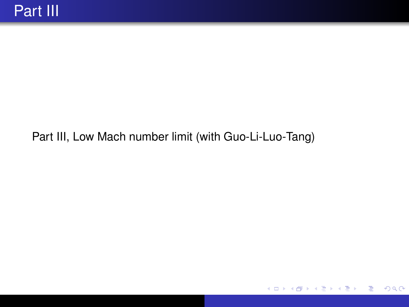#### Part III, Low Mach number limit (with Guo-Li-Luo-Tang)

 $QQ$ 

₹

すロト (御) すきトすきト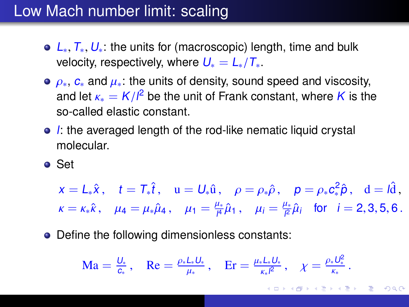### Low Mach number limit: scaling

- $\bullet$  L<sub>∗</sub>,  $T_*$ ,  $U_*$ : the units for (macroscopic) length, time and bulk velocity, respectively, where  $U_* = L_*/T_*$ .<br>●  $\rho_*$ ,  $c_*$  and  $\mu_*$ : the units of density, sound speed and viscosity.
- $ρ_*, c_*$  and  $μ_*$ : the units of density, sound speed and viscosity,<br>and let  $κ = K/l^2$  be the unit of Frank constant, where K is th and let  $\kappa_* = K/l^2$  be the unit of Frank constant, where K is the so-called elastic constant so-called elastic constant.
- $\bullet$  I: the averaged length of the rod-like nematic liquid crystal molecular.
- Set

$$
x = L_*\hat{x}
$$
,  $t = T_*\hat{t}$ ,  $u = U_*\hat{u}$ ,  $\rho = \rho_*\hat{\rho}$ ,  $p = \rho_* c_*^2 \hat{\rho}$ ,  $d = l\hat{d}$ ,  
\n $\kappa = \kappa_*\hat{\kappa}$ ,  $\mu_4 = \mu_*\hat{\mu}_4$ ,  $\mu_1 = \frac{\mu_*}{\mu}\hat{\mu}_1$ ,  $\mu_i = \frac{\mu_*}{\rho}\hat{\mu}_i$  for  $i = 2, 3, 5, 6$ .

• Define the following dimensionless constants:

$$
\mathrm{Ma}=\tfrac{U_*}{c_*},\quad \mathrm{Re}=\tfrac{\rho_*L_*U_*}{\mu_*},\quad \mathrm{Er}=\tfrac{\mu_*L_*U_*}{\kappa_* l^2},\quad \chi=\tfrac{\rho_*U_*^2}{\kappa_*}.
$$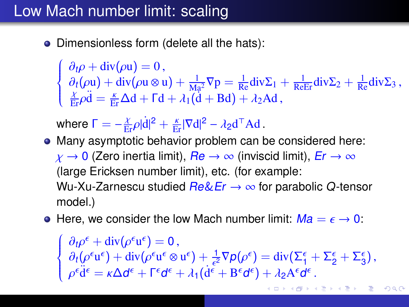### Low Mach number limit: scaling

 $\left\{\right.$ 

 $\overline{\mathcal{L}}$ 

• Dimensionless form (delete all the hats):

 $\partial_t \rho + \text{div}(\rho \mathbf{u}) = 0$ ,<br> $\partial_t (\rho \mathbf{u}) + \text{div}(\rho \mathbf{u} \otimes \mathbf{u})$  $\partial_t(\rho \mathbf{u}) + \text{div}(\rho \mathbf{u} \otimes \mathbf{u}) + \frac{1}{\text{Ma}^2} \nabla p = \frac{1}{\text{Re}} \text{div} \Sigma_1 + \frac{1}{\text{Re} \text{Er}} \text{div} \Sigma_2 + \frac{1}{\text{Re}} \text{div} \Sigma_3,$ <br>  $\frac{\chi}{\text{Er}} \rho \ddot{\mathbf{d}} = \frac{\kappa}{\text{Er}} \Delta \mathbf{d} + \Gamma \mathbf{d} + \lambda_1 (\dot{\mathbf{d}} + \text{B} \mathbf{d}) + \lambda_2 \text{Ad},$ 

where  $\Gamma = -\frac{\chi}{\mathrm{Er}}\rho |\dot{\mathbf{d}}|^2 + \frac{\kappa}{\mathrm{Er}}|\nabla \mathbf{d}|^2 - \lambda_2 \mathbf{d}^\top \mathbf{A} \mathbf{d}$ .

- Many asymptotic behavior problem can be considered here:  $\chi \to 0$  (Zero inertia limit),  $Re \to \infty$  (inviscid limit),  $Er \to \infty$ (large Ericksen number limit), etc. (for example: Wu-Xu-Zarnescu studied  $Re\&Er \rightarrow \infty$  for parabolic Q-tensor model.)
- Here, we consider the low Mach number limit:  $Ma = \epsilon \rightarrow 0$ :

 $\left\{\rule{0cm}{0.15cm}\right.$  $\overline{\mathcal{L}}$  $\partial_t \rho^{\epsilon} + \text{div}(\rho^{\epsilon} \mathbf{u}^{\epsilon}) = 0,$ <br>  $\partial_t (\rho^{\epsilon} \mathbf{u}^{\epsilon}) + \text{div}(\rho^{\epsilon} \mathbf{u}^{\epsilon} \otimes$  $\partial_t(\rho^\epsilon \mathbf{u}^\epsilon) + \text{div}(\rho^\epsilon \mathbf{u}^\epsilon \otimes \mathbf{u}^\epsilon) + \frac{1}{\epsilon^2}$  $\frac{1}{\epsilon^2}\nabla p(\rho^{\epsilon}) = \text{div}(\Sigma_1^{\epsilon} + \Sigma_2^{\epsilon} + \Sigma_3^{\epsilon}),$ <br> $\epsilon + \text{Re}\{\rho^{\epsilon}\} + \lambda_0\Lambda^{\epsilon}\rho^{\epsilon}.$  $\rho^{\epsilon} \ddot{\mathrm{d}}^{\epsilon} = \kappa \Delta \mathrm{d}^{\epsilon} + \Gamma^{\epsilon} \mathrm{d}^{\epsilon} + \lambda_1 (\dot{\mathrm{d}}^{\epsilon} + \mathrm{B}^{\epsilon} \mathrm{d}^{\epsilon}) + \lambda_2 \mathrm{A}^{\epsilon} \mathrm{d}^{\epsilon}$ [.](#page-0-0)<br>한 사람 사람 시 분 수 있다.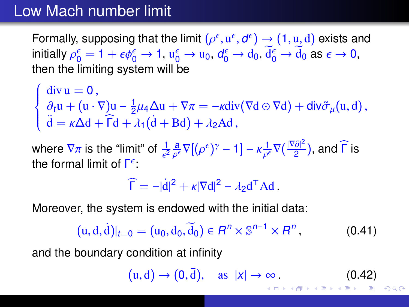### Low Mach number limit

Formally, supposing that the limit  $(\rho^{\epsilon}, u^{\epsilon}, d^{\epsilon}) \rightarrow (1, u, d)$  exists and<br>initially  $\rho^{\epsilon} = 1 + \epsilon d^{\epsilon} \rightarrow 1, u^{\epsilon} \rightarrow u_0, d^{\epsilon} \rightarrow d_0, d^{\epsilon} \rightarrow d_0$  as  $\epsilon \rightarrow 0$ . initially  $\rho_0^{\epsilon} = 1 + \epsilon \phi_0^{\epsilon} \to 1$ ,  $u_0^{\epsilon} \to u_0$ ,  $d_0^{\epsilon} \to d_0$ ,  $d_0^{\epsilon} \to d_0$  as  $\epsilon \to 0$ ,<br>then the limiting system will be then the limiting system will be

 $\left\{\right.$  $\overline{\mathcal{L}}$  $div u = 0,$ <br> $du + (u, v)$  $\frac{\partial_t u}{\partial x^i} + (u \cdot \nabla) u - \frac{1}{2}$  $\frac{1}{2}\mu_4\Delta u + \nabla \pi = -\kappa \text{div}(\nabla d \odot \nabla d) + \text{div}\tilde{\sigma}_{\mu}(u, d),$  $\ddot{\mathbf{d}} = \kappa \Delta \mathbf{d} + \widehat{\mathsf{\Gamma}} \mathbf{d} + \lambda_1 (\dot{\mathbf{d}} + \mathbf{B} \mathbf{d}) + \lambda_2 \mathbf{A} \mathbf{d}$ ,

where  $\nabla \pi$  is the "limit" of  $\frac{1}{\epsilon^2} \frac{a}{\rho^{\epsilon}} \nabla \left[ (\rho^{\epsilon})^{\gamma} - 1 \right] - \kappa \frac{1}{\rho^{\epsilon}} \nabla \left( \frac{|\nabla \partial|^2}{2} \right)$  $\frac{a_{\Gamma}}{2}$ ), and  $\Gamma$  is the formal limit of  $\mathsf{\Gamma}^{\epsilon}$ :

 $\widehat{\Gamma} = -|\dot{d}|^2 + \kappa |\nabla d|^2 - \lambda_2 d^\top A d$ .

Moreover, the system is endowed with the initial data:

$$
(u, d, d)|_{t=0} = (u_0, d_0, \widetilde{d}_0) \in R^n \times \mathbb{S}^{n-1} \times R^n, \tag{0.41}
$$

and the boundary condition at infinity

<span id="page-54-0"></span> $(u, d) \rightarrow (0, \bar{d}), \quad \text{as } |x| \rightarrow \infty.$  $(u, d) \rightarrow (0, \bar{d}), \quad \text{as } |x| \rightarrow \infty.$  (0.42)  $QQQ$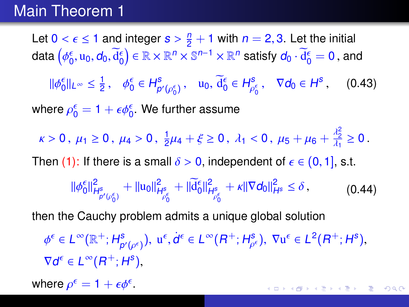#### Main Theorem 1

Let  $0 < \epsilon \le 1$  and integer  $s > \frac{n}{2} + 1$  with  $n = 2, 3$ . Let the initial data (46 m of  $\overline{A^{\epsilon}}$ )  $\epsilon \mathbb{R} \times \mathbb{R}^n \times \mathbb{R}^{n-1} \times \mathbb{R}^n$  action of  $\overline{A^{\epsilon}}$  on  $\overline{A^{\epsilon}}$ data  $\left(\phi_0^\epsilon,u_0,d_0,\widetilde{d}_0^\epsilon\right)\in \mathbb{R}\times \mathbb{R}^n\times \mathbb{S}^{n-1}\times \mathbb{R}^n$  satisfy  $d_0\cdot \widetilde{d}_0^\epsilon=0$  , and φ  $\|\phi_0^{\epsilon}\|_{L^{\infty}} \leq \frac{1}{2}$  $\frac{1}{2}$ ,  $\phi_0^{\epsilon} \in H_p^{\epsilon}$  $p'(\rho_0^{\epsilon})$ ,  $u_0, d_0^{\epsilon} \in H_{\rho}^{\epsilon}$  $\rho_0^{\varepsilon}$ ,  $\nabla d_0 \in H^{\varepsilon}$  $(0.43)$ where  $\rho_0^\epsilon=1+\epsilon\phi_0^\epsilon.$  We further assume  $\kappa > 0, \mu_1 \ge 0, \mu_4 > 0, \frac{1}{2}$  $\frac{1}{2}\mu_4 + \xi \ge 0$ ,  $\lambda_1 < 0$ ,  $\mu_5 + \mu_6 + \frac{\lambda_2^2}{\lambda_1}$  $\frac{\lambda_2}{\lambda_1}\geq 0$ . Then (1): If there is a small  $\delta > 0$ , independent of  $\epsilon \in (0, 1]$ , s.t.  $\|\phi_0^\epsilon\|_F^2$  $\frac{2}{H^s_{p'(\rho_0^\epsilon)}} + ||u_0||^2_P$ H s ρ  $\frac{1}{6} + ||\widetilde{d}_0^{\epsilon}||_F^2$ H s ρ  $\frac{\epsilon}{\delta} + \kappa \|\nabla d_0\|_{H^s}^2 \le \delta$ , (0.44)

<span id="page-55-1"></span>then the Cauchy problem admits a unique global solution

 $\phi^{\epsilon} \in L^{\infty}(\mathbb{R}^{+}; H_{\rho}^{\mathbf{s}})$  $p'(\rho^{\epsilon})$ ,  $u^{\epsilon}, \dot{d}^{\epsilon} \in L^{\infty}(R^+; H^s_{\rho^{\epsilon}})$ ,  $\nabla u^{\epsilon} \in L^2(R^+; H^s)$ , ρ  $\nabla d^{\epsilon} \in L^{\infty}(R^+; H^s),$ 

<span id="page-55-0"></span>**KOD KAD KED KED E YOUR** 

where  $\rho^{\epsilon} = 1 + \epsilon \phi^{\epsilon}$ .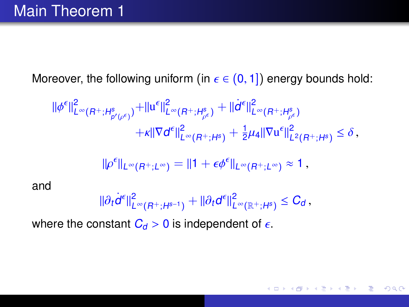Moreover, the following uniform (in  $\epsilon \in (0, 1]$ ) energy bounds hold:

$$
\begin{split} \|\phi^{\epsilon}\|_{L^{\infty}(R^+;H^s_{p'(\rho^{\epsilon})})}^2 + \|u^{\epsilon}\|_{L^{\infty}(R^+;H^s_{\rho^{\epsilon}})}^2 + \|\dot{d}^{\epsilon}\|_{L^{\infty}(R^+;H^s_{\rho^{\epsilon}})}^2 \\ + \kappa \|\nabla d^{\epsilon}\|_{L^{\infty}(R^+;H^s)}^2 + \frac{1}{2}\mu_4 \|\nabla u^{\epsilon}\|_{L^2(R^+;H^s)}^2 \leq \delta \,, \end{split}
$$

$$
\|\rho^{\epsilon}\|_{L^{\infty}(R^+;L^{\infty})}=\|1+\epsilon\phi^{\epsilon}\|_{L^{\infty}(R^+;L^{\infty})}\approx 1,
$$

and

$$
\|\partial_t \dot{d}^\epsilon\|^2_{L^\infty(R^+;H^{s-1})} + \|\partial_t d^\epsilon\|^2_{L^\infty(\mathbb{R}^+;H^s)} \leq C_d\,,
$$

where the constant  $C_d > 0$  is independent of  $\epsilon$ .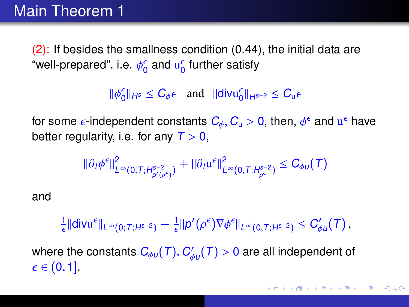### Main Theorem 1

(2): If besides the smallness condition [\(0.44\)](#page-55-1), the initial data are "well-prepared", i.e.  $\phi_0^\epsilon$  and  $\mathrm{u}_0^\epsilon$  further satisfy

 $\|\phi_0^{\epsilon}\|_{H^s} \leq C_{\phi} \epsilon$  and  $\|\text{div} \mathbf{u}_0^{\epsilon}\|_{H^{s-2}} \leq C_{\mathbf{u}} \epsilon$ 

for some  $\epsilon$ -independent constants  $C_\phi, C_\mathrm{u} > 0$ , then,  $\phi^\epsilon$  and  $\mathrm{u}^\epsilon$  have<br>better requierity i.e. for any  $T > 0$ better regularity, i.e. for any  $T > 0$ ,

$$
\|\partial_t \phi^{\epsilon}\|^2_{L^{\infty}(0,T;H^{s-2}_{p'(p^{\epsilon})})} + \|\partial_t u^{\epsilon}\|^2_{L^{\infty}(0,T;H^{s-2}_{p^{\epsilon}})} \leq C_{\phi u}(\mathcal{T})
$$

and

 $\frac{1}{\epsilon}$ ||div $\mathrm{u}^{\epsilon}$ || $L^{\infty}(0;T;H^{s-2}) + \frac{1}{\epsilon}$ || $p'(\rho^{\epsilon})\nabla\phi^{\epsilon}$ || $L^{\infty}(0,T;H^{s-2}) \leq C'_{\phi}$  $C'_{\phi u}(T)$  ,

where the constants  $C_{\phi u}(T)$ ,  $C'_{\phi}$  $\psi'_{\phi\mu}(\mathcal{T})>0$  are all independent of  $\epsilon \in (0, 1]$ .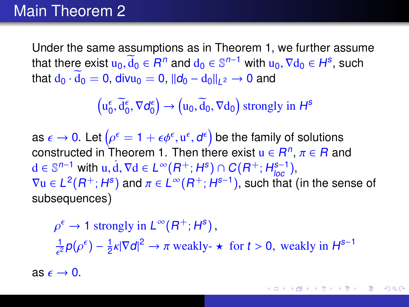#### Main Theorem 2

Under the same assumptions as in Theorem 1, we further assume that there exist  $u_0, \overline{d}_0 \in R^n$  and  $d_0 \in \mathbb{S}^{n-1}$  with  $u_0, \nabla d_0 \in H^s$ , such that  $d_0 \cdot \overline{d}_0 = 0$  divide  $-$  0 llds  $-$  delles  $\rightarrow 0$  and that  $d_0 \cdot d_0 = 0$ , div $u_0 = 0$ ,  $||d_0 - d_0||_{L^2} \rightarrow 0$  and

 $\left(u_0^{\epsilon}, \overline{d}_0^{\epsilon}, \nabla d_0^{\epsilon}\right) \rightarrow \left(u_0, \overline{d}_0, \nabla d_0\right)$  strongly in  $H^s$ 

as  $\epsilon \to 0$ . Let  $(\rho^{\epsilon} = 1 + \epsilon \phi^{\epsilon}, u^{\epsilon}, d^{\epsilon})$  be the family of solutions constructed in Theorem 1. Then there exist  $u \in B^n$ ,  $\pi \in B$  and constructed in Theorem 1. Then there exist  $u \in R^n$ ,  $\pi \in R$  and  $d \in \mathbb{S}^{n-1}$  with  $u \, d \nabla d \in L^\infty(R^+, H^s) \cap C(R^+, H^{s-1})$ d ∈  $\mathbb{S}^{n-1}$  with u, d,  $\nabla$ d ∈  $L^{\infty}(R^+; H^s) \cap C(R^+; H^{s-1})$ ,<br> $\nabla$ u ∈  $L^2(R^+; H^s)$  and  $\pi$  ∈  $L^{\infty}(R^+; H^{s-1})$ , such that  $\ell$  $\nabla u \in L^2(R^+; H^s)$  and  $\pi \in L^\infty(R^+; H^{s-1})$ , such that (in the sense of subsequences)

 $\frac{1}{\epsilon^2}p(\rho^{\epsilon})-\frac{1}{2}$  $\epsilon \to 1$  strongly in  $L^{\infty}(R^+; H^s)$ ,  $\frac{1}{2}$  $\kappa |\nabla d|^2 \to \pi$  weakly-  $\star$  for  $t > 0$ , weakly in  $H^{s-1}$ 

as  $\epsilon \rightarrow 0$ .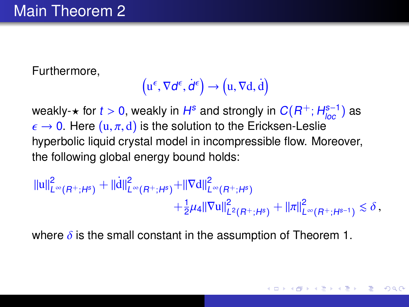Furthermore,

$$
\left(u^{\epsilon}, \nabla d^{\epsilon}, \dot{d}^{\epsilon}\right) \rightarrow \left(u, \nabla d, \dot{d}\right)
$$

weakly- $\star$  for  $t > 0$ , weakly in  $H^s$  and strongly in  $C(R^+; H^{s-1}_{loc})$  as<br> $\epsilon \to 0$  . Here  $(u, \pi, d)$  is the solution to the Ericksen-Leslie  $\epsilon \to 0$ . Here  $(u, \pi, d)$  is the solution to the Ericksen-Leslie hyperbolic liquid crystal model in incompressible flow. Moreover, the following global energy bound holds:

$$
\begin{aligned} ||u||^2_{L^{\infty}(R^+;H^s)} + ||\dot{d}||^2_{L^{\infty}(R^+;H^s)} + ||\nabla d||^2_{L^{\infty}(R^+;H^s)} \\ &+ \frac{1}{2}\mu_4||\nabla u||^2_{L^2(R^+;H^s)} + ||\pi||^2_{L^{\infty}(R^+;H^{s-1})} \lesssim \delta \,, \end{aligned}
$$

where  $\delta$  is the small constant in the assumption of Theorem 1.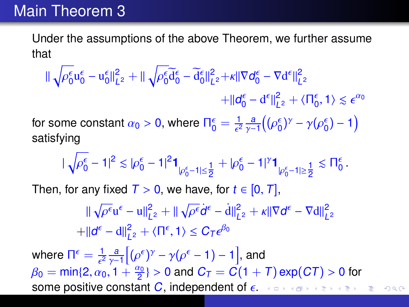### Main Theorem 3

Under the assumptions of the above Theorem, we further assume that

$$
\|\sqrt{\rho_0^\varepsilon}u_0^\varepsilon-u_0^\varepsilon\|_{L^2}^2+\|\sqrt{\rho_0^\varepsilon}\widetilde d_0^\varepsilon-\widetilde d_0^\varepsilon\|_{L^2}^2+\kappa\|\nabla d_0^\varepsilon-\nabla d^\varepsilon\|_{L^2}^2\\+\|d_0^\varepsilon-d^\varepsilon\|_{L^2}^2+\langle \Pi_0^\varepsilon,1\rangle\lesssim \varepsilon^{\alpha_0}
$$

for some constant  $\alpha_0 > 0$ , where  $\Pi_0^\epsilon = \frac{1}{\epsilon^2} \frac{a}{\gamma - 1}$  $((\rho_0^{\epsilon})^{\gamma} - \gamma(\rho_0^{\epsilon}) - 1)$ satisfying

$$
|\sqrt{\rho_0^\epsilon-1}|^2\lesssim |\rho_0^\epsilon-1|^2\textbf{1}_{|\rho_0^\epsilon-1|\leq \tfrac{1}{2}}+|\rho_0^\epsilon-1|^\gamma\textbf{1}_{|\rho_0^\epsilon-1|\geq \tfrac{1}{2}}\lesssim \Pi_0^\epsilon.
$$

Then, for any fixed  $T > 0$ , we have, for  $t \in [0, T]$ ,

<span id="page-60-0"></span>
$$
\|\sqrt{\rho^{\epsilon}}\mathbf{u}^{\epsilon} - \mathbf{u}\|_{L^{2}}^{2} + \|\sqrt{\rho^{\epsilon}}\dot{\mathbf{d}}^{\epsilon} - \dot{\mathbf{d}}\|_{L^{2}}^{2} + \kappa \|\nabla \mathbf{d}^{\epsilon} - \nabla \mathbf{d}\|_{L^{2}}^{2}
$$
  
+
$$
\|\mathbf{d}^{\epsilon} - \mathbf{d}\|_{L^{2}}^{2} + \langle \Pi^{\epsilon}, 1 \rangle \leq C_{\mathcal{T}} \epsilon^{\beta_{0}}
$$

where  $\Pi^{\epsilon} = \frac{1}{\epsilon^2} \frac{a}{\gamma - 1} \left[ (\rho^{\epsilon})^{\gamma} - \gamma (\rho^{\epsilon} - 1) - 1 \right]$ , and  $\frac{1}{\epsilon^2}$   $\frac{\gamma-1}{\gamma-1}$  $\beta_0 = \min\{2, \alpha_0, 1 + \frac{\alpha_0}{2}\} > 0$  $\beta_0 = \min\{2, \alpha_0, 1 + \frac{\alpha_0}{2}\} > 0$  $\beta_0 = \min\{2, \alpha_0, 1 + \frac{\alpha_0}{2}\} > 0$  and  $C_T = C(1 + T) \exp(CT) > 0$  for some positive constant C independent of  $\epsilon$ some positive constant C, independent of  $\epsilon$ .  $QQ$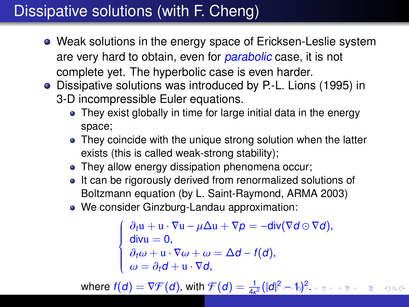## Dissipative solutions (with F. Cheng)

- Weak solutions in the energy space of Ericksen-Leslie system are very hard to obtain, even for *parabolic* case, it is not complete yet. The hyperbolic case is even harder.
- Dissipative solutions was introduced by P.-L. Lions (1995) in 3-D incompressible Euler equations.
	- They exist globally in time for large initial data in the energy space;
	- They coincide with the unique strong solution when the latter exists (this is called weak-strong stability);
	- They allow energy dissipation phenomena occur;
	- It can be rigorously derived from renormalized solutions of Boltzmann equation (by L. Saint-Raymond, ARMA 2003)
	- We consider Ginzburg-Landau approximation:

<span id="page-61-0"></span>
$$
\begin{cases}\n\partial_t \mathbf{u} + \mathbf{u} \cdot \nabla \mathbf{u} - \mu \Delta \mathbf{u} + \nabla p = -\text{div}(\nabla d \odot \nabla d), \\
\text{div}\mathbf{u} = 0, \\
\partial_t \omega + \mathbf{u} \cdot \nabla \omega + \omega = \Delta d - f(d), \\
\omega = \partial_t d + \mathbf{u} \cdot \nabla d,\n\end{cases}
$$

where  $f(d) = \nabla \mathcal{F}(d)$  $f(d) = \nabla \mathcal{F}(d)$  $f(d) = \nabla \mathcal{F}(d)$  $f(d) = \nabla \mathcal{F}(d)$ , with  $\mathcal{F}(d) = \frac{1}{4\kappa^2}(|d|^2 - 1)^2$  $\mathcal{F}(d) = \frac{1}{4\kappa^2}(|d|^2 - 1)^2$  $\mathcal{F}(d) = \frac{1}{4\kappa^2}(|d|^2 - 1)^2$ [.](#page-62-0)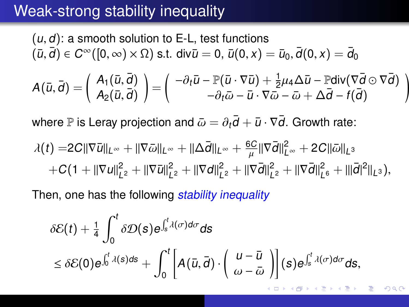### Weak-strong stability inequality

$$
(u, d): \text{ a smooth solution to E-L, test functions}
$$
\n
$$
(\bar{u}, \bar{d}) \in C^{\infty}([0, \infty) \times \Omega) \text{ s.t. } \text{div}\bar{u} = 0, \ \bar{u}(0, x) = \bar{u}_0, \ \bar{d}(0, x) = \bar{d}_0
$$
\n
$$
A(\bar{u}, \bar{d}) = \begin{pmatrix} A_1(\bar{u}, \bar{d}) \\ A_2(\bar{u}, \bar{d}) \end{pmatrix} = \begin{pmatrix} -\partial_t \bar{u} - \mathbb{P}(\bar{u} \cdot \nabla \bar{u}) + \frac{1}{2}\mu_4 \Delta \bar{u} - \mathbb{P} \text{div}(\nabla \bar{d} \odot \nabla \bar{d}) \\ -\partial_t \bar{\omega} - \bar{u} \cdot \nabla \bar{\omega} - \bar{\omega} + \Delta \bar{d} - f(\bar{d}) \end{pmatrix}
$$

where P is Leray projection and  $\bar{\omega} = \partial_t \bar{d} + \bar{u} \cdot \nabla \bar{d}$ . Growth rate:

$$
\lambda(t) = 2C\|\nabla \bar{u}\|_{L^{\infty}} + \|\nabla \bar{\omega}\|_{L^{\infty}} + \|\Delta \bar{d}\|_{L^{\infty}} + \frac{6C}{\mu}\|\nabla \bar{d}\|_{L^{\infty}}^2 + 2C\|\bar{\omega}\|_{L^3} + C(1 + \|\nabla u\|_{L^2}^2 + \|\nabla \bar{u}\|_{L^2}^2 + \|\nabla d\|_{L^2}^2 + \|\nabla \bar{d}\|_{L^2}^2 + \|\nabla \bar{d}\|_{L^6}^2 + \|\bar{d}|^2\|_{L^3}),
$$

Then, one has the following *stability inequality* 

<span id="page-62-0"></span>
$$
\delta \mathcal{E}(t) + \frac{1}{4} \int_0^t \delta \mathcal{D}(s) e^{\int_s^t \lambda(\sigma) d\sigma} ds
$$
  
\$\leq \delta \mathcal{E}(0) e^{\int\_0^t \lambda(s) ds} + \int\_0^t \left[ A(\bar{u}, \bar{d}) \cdot \left( \begin{array}{c} u - \bar{u} \\ \omega - \bar{\omega} \end{array} \right) \right] (s) e^{\int\_s^t \lambda(\sigma) d\sigma} ds\$,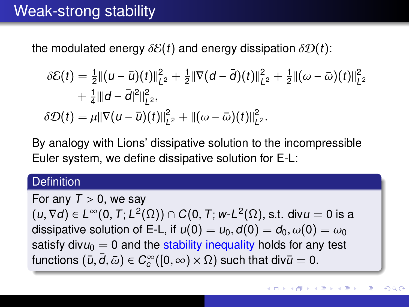### Weak-strong stability

the modulated energy  $\delta \mathcal{E}(t)$  and energy dissipation  $\delta \mathcal{D}(t)$ :

$$
\delta \mathcal{E}(t) = \frac{1}{2} ||(u - \bar{u})(t)||_{L^2}^2 + \frac{1}{2} ||\nabla (d - \bar{d})(t)||_{L^2}^2 + \frac{1}{2} ||(\omega - \bar{\omega})(t)||_{L^2}^2 + \frac{1}{4} ||d - \bar{d}|^2 ||_{L^2}^2,
$$
  

$$
\delta \mathcal{D}(t) = \mu ||\nabla (u - \bar{u})(t)||_{L^2}^2 + ||(\omega - \bar{\omega})(t)||_{L^2}^2.
$$

By analogy with Lions' dissipative solution to the incompressible Euler system, we define dissipative solution for E-L:

#### **Definition**

For any  $T > 0$ , we say  $(u, \nabla d) \in L^{\infty}(0, T; L^{2}(\Omega)) \cap C(0, T; w\text{-}L^{2}(\Omega), \text{s.t.} \text{div}u = 0 \text{ is a})$ dissipative solution of E-L, if  $u(0) = u_0, d(0) = d_0, \omega(0) = \omega_0$ satisfy div $u_0 = 0$  and the stability inequality holds for any test functions  $(\bar{u}, \bar{d}, \bar{\omega}) \in C_c^{\infty}([0, \infty) \times \Omega)$  such that div $\bar{u} = 0$ .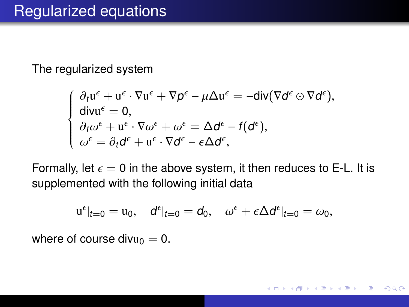The regularized system

$$
\begin{cases} \n\partial_t \mathbf{u}^{\epsilon} + \mathbf{u}^{\epsilon} \cdot \nabla \mathbf{u}^{\epsilon} + \nabla p^{\epsilon} - \mu \Delta \mathbf{u}^{\epsilon} = -\text{div}(\nabla d^{\epsilon} \odot \nabla d^{\epsilon}),\\ \n\text{div}\mathbf{u}^{\epsilon} = 0,\\ \n\partial_t \omega^{\epsilon} + \mathbf{u}^{\epsilon} \cdot \nabla \omega^{\epsilon} + \omega^{\epsilon} = \Delta d^{\epsilon} - f(d^{\epsilon}),\\ \n\omega^{\epsilon} = \partial_t d^{\epsilon} + \mathbf{u}^{\epsilon} \cdot \nabla d^{\epsilon} - \epsilon \Delta d^{\epsilon}, \n\end{cases}
$$

Formally, let  $\epsilon = 0$  in the above system, it then reduces to E-L. It is supplemented with the following initial data

$$
\mathbf{u}^{\epsilon}|_{t=0} = \mathbf{u}_0, \quad \mathbf{d}^{\epsilon}|_{t=0} = \mathbf{d}_0, \quad \omega^{\epsilon} + \epsilon \Delta \mathbf{d}^{\epsilon}|_{t=0} = \omega_0,
$$

イロト イ母 トイヨ トイヨト

つのへ

where of course divu<sub>0</sub> = 0.